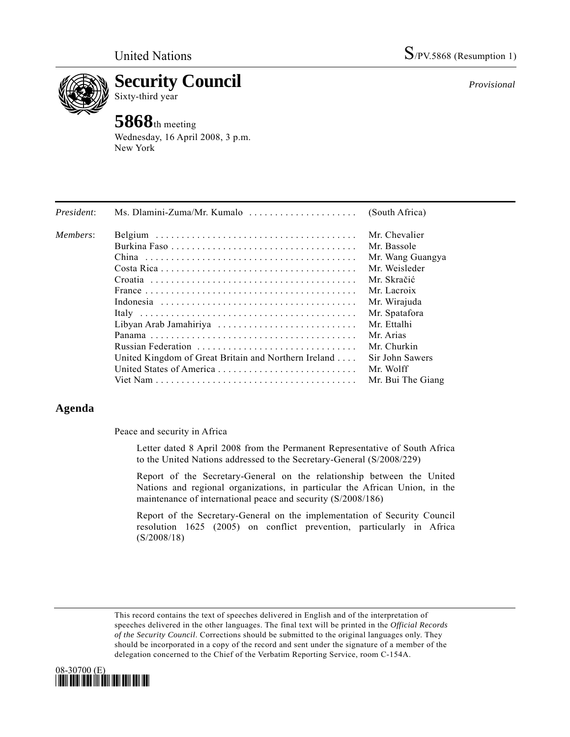

**Security Council**  Sixty-third year

## **5868**th meeting

Wednesday, 16 April 2008, 3 p.m. New York

| President: | Ms. Dlamini-Zuma/Mr. Kumalo                          | (South Africa)    |
|------------|------------------------------------------------------|-------------------|
| Members:   |                                                      | Mr. Chevalier     |
|            |                                                      | Mr. Bassole       |
|            |                                                      | Mr. Wang Guangya  |
|            |                                                      | Mr. Weisleder     |
|            |                                                      | Mr. Skračić       |
|            |                                                      | Mr. Lacroix       |
|            |                                                      | Mr. Wirajuda      |
|            |                                                      | Mr. Spatafora     |
|            | Libyan Arab Jamahiriya                               | Mr. Ettalhi       |
|            |                                                      | Mr. Arias         |
|            |                                                      | Mr. Churkin       |
|            | United Kingdom of Great Britain and Northern Ireland | Sir John Sawers   |
|            | United States of America                             | Mr. Wolff         |
|            |                                                      | Mr. Bui The Giang |

## **Agenda**

Peace and security in Africa

Letter dated 8 April 2008 from the Permanent Representative of South Africa to the United Nations addressed to the Secretary-General (S/2008/229)

Report of the Secretary-General on the relationship between the United Nations and regional organizations, in particular the African Union, in the maintenance of international peace and security (S/2008/186)

Report of the Secretary-General on the implementation of Security Council resolution 1625 (2005) on conflict prevention, particularly in Africa (S/2008/18)

This record contains the text of speeches delivered in English and of the interpretation of speeches delivered in the other languages. The final text will be printed in the *Official Records of the Security Council*. Corrections should be submitted to the original languages only. They should be incorporated in a copy of the record and sent under the signature of a member of the delegation concerned to the Chief of the Verbatim Reporting Service, room C-154A.



*Provisional*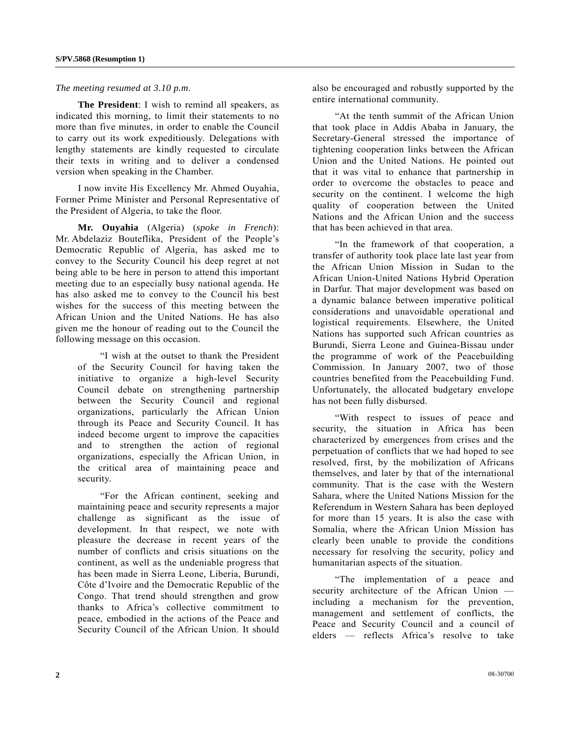## *The meeting resumed at 3.10 p.m*.

**The President**: I wish to remind all speakers, as indicated this morning, to limit their statements to no more than five minutes, in order to enable the Council to carry out its work expeditiously. Delegations with lengthy statements are kindly requested to circulate their texts in writing and to deliver a condensed version when speaking in the Chamber.

 I now invite His Excellency Mr. Ahmed Ouyahia, Former Prime Minister and Personal Representative of the President of Algeria, to take the floor.

**Mr. Ouyahia** (Algeria) (*spoke in French*): Mr. Abdelaziz Bouteflika, President of the People's Democratic Republic of Algeria, has asked me to convey to the Security Council his deep regret at not being able to be here in person to attend this important meeting due to an especially busy national agenda. He has also asked me to convey to the Council his best wishes for the success of this meeting between the African Union and the United Nations. He has also given me the honour of reading out to the Council the following message on this occasion.

 "I wish at the outset to thank the President of the Security Council for having taken the initiative to organize a high-level Security Council debate on strengthening partnership between the Security Council and regional organizations, particularly the African Union through its Peace and Security Council. It has indeed become urgent to improve the capacities and to strengthen the action of regional organizations, especially the African Union, in the critical area of maintaining peace and security.

 "For the African continent, seeking and maintaining peace and security represents a major challenge as significant as the issue of development. In that respect, we note with pleasure the decrease in recent years of the number of conflicts and crisis situations on the continent, as well as the undeniable progress that has been made in Sierra Leone, Liberia, Burundi, Côte d'Ivoire and the Democratic Republic of the Congo. That trend should strengthen and grow thanks to Africa's collective commitment to peace, embodied in the actions of the Peace and Security Council of the African Union. It should also be encouraged and robustly supported by the entire international community.

 "At the tenth summit of the African Union that took place in Addis Ababa in January, the Secretary-General stressed the importance of tightening cooperation links between the African Union and the United Nations. He pointed out that it was vital to enhance that partnership in order to overcome the obstacles to peace and security on the continent. I welcome the high quality of cooperation between the United Nations and the African Union and the success that has been achieved in that area.

 "In the framework of that cooperation, a transfer of authority took place late last year from the African Union Mission in Sudan to the African Union-United Nations Hybrid Operation in Darfur. That major development was based on a dynamic balance between imperative political considerations and unavoidable operational and logistical requirements. Elsewhere, the United Nations has supported such African countries as Burundi, Sierra Leone and Guinea-Bissau under the programme of work of the Peacebuilding Commission. In January 2007, two of those countries benefited from the Peacebuilding Fund. Unfortunately, the allocated budgetary envelope has not been fully disbursed.

 "With respect to issues of peace and security, the situation in Africa has been characterized by emergences from crises and the perpetuation of conflicts that we had hoped to see resolved, first, by the mobilization of Africans themselves, and later by that of the international community. That is the case with the Western Sahara, where the United Nations Mission for the Referendum in Western Sahara has been deployed for more than 15 years. It is also the case with Somalia, where the African Union Mission has clearly been unable to provide the conditions necessary for resolving the security, policy and humanitarian aspects of the situation.

 "The implementation of a peace and security architecture of the African Union including a mechanism for the prevention, management and settlement of conflicts, the Peace and Security Council and a council of elders — reflects Africa's resolve to take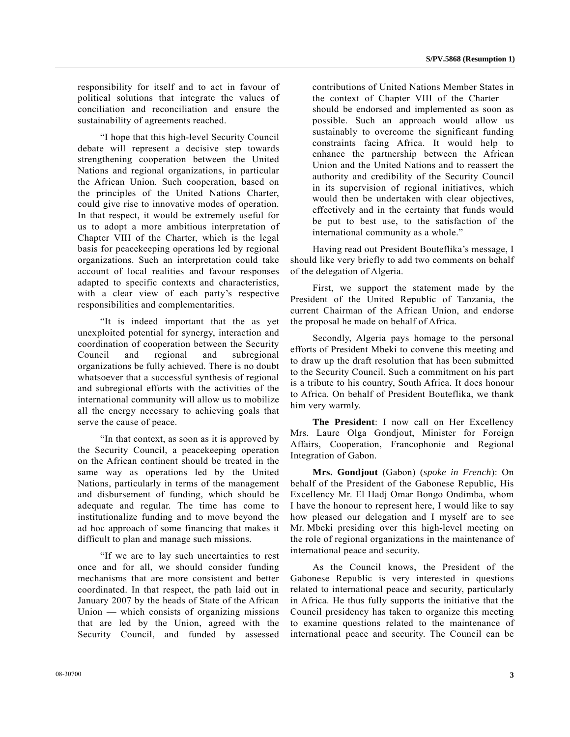responsibility for itself and to act in favour of political solutions that integrate the values of conciliation and reconciliation and ensure the sustainability of agreements reached.

 "I hope that this high-level Security Council debate will represent a decisive step towards strengthening cooperation between the United Nations and regional organizations, in particular the African Union. Such cooperation, based on the principles of the United Nations Charter, could give rise to innovative modes of operation. In that respect, it would be extremely useful for us to adopt a more ambitious interpretation of Chapter VIII of the Charter, which is the legal basis for peacekeeping operations led by regional organizations. Such an interpretation could take account of local realities and favour responses adapted to specific contexts and characteristics, with a clear view of each party's respective responsibilities and complementarities.

 "It is indeed important that the as yet unexploited potential for synergy, interaction and coordination of cooperation between the Security Council and regional and subregional organizations be fully achieved. There is no doubt whatsoever that a successful synthesis of regional and subregional efforts with the activities of the international community will allow us to mobilize all the energy necessary to achieving goals that serve the cause of peace.

 "In that context, as soon as it is approved by the Security Council, a peacekeeping operation on the African continent should be treated in the same way as operations led by the United Nations, particularly in terms of the management and disbursement of funding, which should be adequate and regular. The time has come to institutionalize funding and to move beyond the ad hoc approach of some financing that makes it difficult to plan and manage such missions.

 "If we are to lay such uncertainties to rest once and for all, we should consider funding mechanisms that are more consistent and better coordinated. In that respect, the path laid out in January 2007 by the heads of State of the African Union — which consists of organizing missions that are led by the Union, agreed with the Security Council, and funded by assessed

contributions of United Nations Member States in the context of Chapter VIII of the Charter should be endorsed and implemented as soon as possible. Such an approach would allow us sustainably to overcome the significant funding constraints facing Africa. It would help to enhance the partnership between the African Union and the United Nations and to reassert the authority and credibility of the Security Council in its supervision of regional initiatives, which would then be undertaken with clear objectives, effectively and in the certainty that funds would be put to best use, to the satisfaction of the international community as a whole."

 Having read out President Bouteflika's message, I should like very briefly to add two comments on behalf of the delegation of Algeria.

 First, we support the statement made by the President of the United Republic of Tanzania, the current Chairman of the African Union, and endorse the proposal he made on behalf of Africa.

 Secondly, Algeria pays homage to the personal efforts of President Mbeki to convene this meeting and to draw up the draft resolution that has been submitted to the Security Council. Such a commitment on his part is a tribute to his country, South Africa. It does honour to Africa. On behalf of President Bouteflika, we thank him very warmly.

**The President**: I now call on Her Excellency Mrs. Laure Olga Gondjout, Minister for Foreign Affairs, Cooperation, Francophonie and Regional Integration of Gabon.

 **Mrs. Gondjout** (Gabon) (*spoke in French*): On behalf of the President of the Gabonese Republic, His Excellency Mr. El Hadj Omar Bongo Ondimba, whom I have the honour to represent here, I would like to say how pleased our delegation and I myself are to see Mr. Mbeki presiding over this high-level meeting on the role of regional organizations in the maintenance of international peace and security.

 As the Council knows, the President of the Gabonese Republic is very interested in questions related to international peace and security, particularly in Africa. He thus fully supports the initiative that the Council presidency has taken to organize this meeting to examine questions related to the maintenance of international peace and security. The Council can be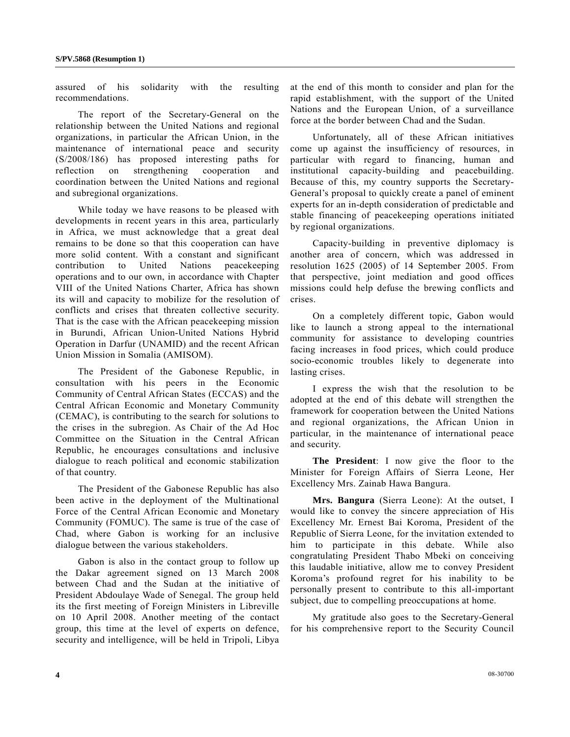assured of his solidarity with the resulting recommendations.

 The report of the Secretary-General on the relationship between the United Nations and regional organizations, in particular the African Union, in the maintenance of international peace and security (S/2008/186) has proposed interesting paths for reflection on strengthening cooperation and coordination between the United Nations and regional and subregional organizations.

 While today we have reasons to be pleased with developments in recent years in this area, particularly in Africa, we must acknowledge that a great deal remains to be done so that this cooperation can have more solid content. With a constant and significant contribution to United Nations peacekeeping operations and to our own, in accordance with Chapter VIII of the United Nations Charter, Africa has shown its will and capacity to mobilize for the resolution of conflicts and crises that threaten collective security. That is the case with the African peacekeeping mission in Burundi, African Union-United Nations Hybrid Operation in Darfur (UNAMID) and the recent African Union Mission in Somalia (AMISOM).

 The President of the Gabonese Republic, in consultation with his peers in the Economic Community of Central African States (ECCAS) and the Central African Economic and Monetary Community (CEMAC), is contributing to the search for solutions to the crises in the subregion. As Chair of the Ad Hoc Committee on the Situation in the Central African Republic, he encourages consultations and inclusive dialogue to reach political and economic stabilization of that country.

 The President of the Gabonese Republic has also been active in the deployment of the Multinational Force of the Central African Economic and Monetary Community (FOMUC). The same is true of the case of Chad, where Gabon is working for an inclusive dialogue between the various stakeholders.

 Gabon is also in the contact group to follow up the Dakar agreement signed on 13 March 2008 between Chad and the Sudan at the initiative of President Abdoulaye Wade of Senegal. The group held its the first meeting of Foreign Ministers in Libreville on 10 April 2008. Another meeting of the contact group, this time at the level of experts on defence, security and intelligence, will be held in Tripoli, Libya

at the end of this month to consider and plan for the rapid establishment, with the support of the United Nations and the European Union, of a surveillance force at the border between Chad and the Sudan.

 Unfortunately, all of these African initiatives come up against the insufficiency of resources, in particular with regard to financing, human and institutional capacity-building and peacebuilding. Because of this, my country supports the Secretary-General's proposal to quickly create a panel of eminent experts for an in-depth consideration of predictable and stable financing of peacekeeping operations initiated by regional organizations.

 Capacity-building in preventive diplomacy is another area of concern, which was addressed in resolution 1625 (2005) of 14 September 2005. From that perspective, joint mediation and good offices missions could help defuse the brewing conflicts and crises.

 On a completely different topic, Gabon would like to launch a strong appeal to the international community for assistance to developing countries facing increases in food prices, which could produce socio-economic troubles likely to degenerate into lasting crises.

 I express the wish that the resolution to be adopted at the end of this debate will strengthen the framework for cooperation between the United Nations and regional organizations, the African Union in particular, in the maintenance of international peace and security.

**The President**: I now give the floor to the Minister for Foreign Affairs of Sierra Leone, Her Excellency Mrs. Zainab Hawa Bangura.

**Mrs. Bangura** (Sierra Leone): At the outset, I would like to convey the sincere appreciation of His Excellency Mr. Ernest Bai Koroma, President of the Republic of Sierra Leone, for the invitation extended to him to participate in this debate. While also congratulating President Thabo Mbeki on conceiving this laudable initiative, allow me to convey President Koroma's profound regret for his inability to be personally present to contribute to this all-important subject, due to compelling preoccupations at home.

 My gratitude also goes to the Secretary-General for his comprehensive report to the Security Council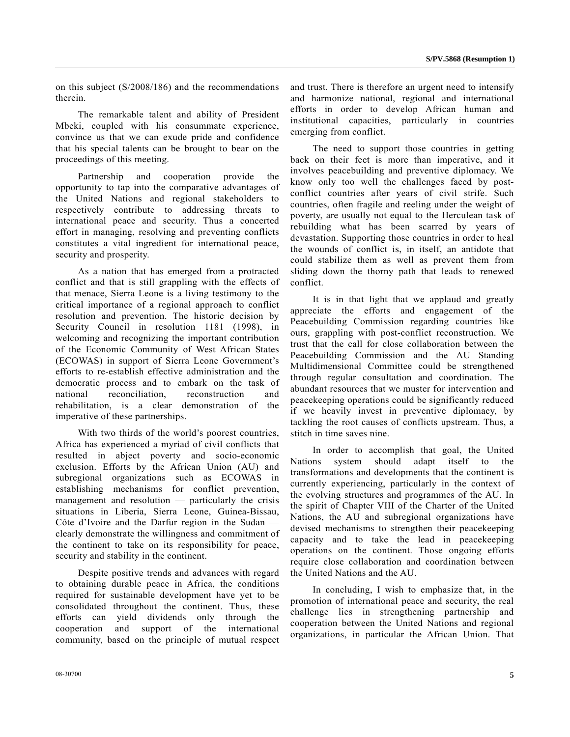on this subject (S/2008/186) and the recommendations therein.

 The remarkable talent and ability of President Mbeki, coupled with his consummate experience, convince us that we can exude pride and confidence that his special talents can be brought to bear on the proceedings of this meeting.

 Partnership and cooperation provide the opportunity to tap into the comparative advantages of the United Nations and regional stakeholders to respectively contribute to addressing threats to international peace and security. Thus a concerted effort in managing, resolving and preventing conflicts constitutes a vital ingredient for international peace, security and prosperity.

 As a nation that has emerged from a protracted conflict and that is still grappling with the effects of that menace, Sierra Leone is a living testimony to the critical importance of a regional approach to conflict resolution and prevention. The historic decision by Security Council in resolution 1181 (1998), in welcoming and recognizing the important contribution of the Economic Community of West African States (ECOWAS) in support of Sierra Leone Government's efforts to re-establish effective administration and the democratic process and to embark on the task of national reconciliation, reconstruction and rehabilitation, is a clear demonstration of the imperative of these partnerships.

 With two thirds of the world's poorest countries, Africa has experienced a myriad of civil conflicts that resulted in abject poverty and socio-economic exclusion. Efforts by the African Union (AU) and subregional organizations such as ECOWAS in establishing mechanisms for conflict prevention, management and resolution — particularly the crisis situations in Liberia, Sierra Leone, Guinea-Bissau, Côte d'Ivoire and the Darfur region in the Sudan clearly demonstrate the willingness and commitment of the continent to take on its responsibility for peace, security and stability in the continent.

 Despite positive trends and advances with regard to obtaining durable peace in Africa, the conditions required for sustainable development have yet to be consolidated throughout the continent. Thus, these efforts can yield dividends only through the cooperation and support of the international community, based on the principle of mutual respect and trust. There is therefore an urgent need to intensify and harmonize national, regional and international efforts in order to develop African human and institutional capacities, particularly in countries emerging from conflict.

 The need to support those countries in getting back on their feet is more than imperative, and it involves peacebuilding and preventive diplomacy. We know only too well the challenges faced by postconflict countries after years of civil strife. Such countries, often fragile and reeling under the weight of poverty, are usually not equal to the Herculean task of rebuilding what has been scarred by years of devastation. Supporting those countries in order to heal the wounds of conflict is, in itself, an antidote that could stabilize them as well as prevent them from sliding down the thorny path that leads to renewed conflict.

 It is in that light that we applaud and greatly appreciate the efforts and engagement of the Peacebuilding Commission regarding countries like ours, grappling with post-conflict reconstruction. We trust that the call for close collaboration between the Peacebuilding Commission and the AU Standing Multidimensional Committee could be strengthened through regular consultation and coordination. The abundant resources that we muster for intervention and peacekeeping operations could be significantly reduced if we heavily invest in preventive diplomacy, by tackling the root causes of conflicts upstream. Thus, a stitch in time saves nine.

 In order to accomplish that goal, the United Nations system should adapt itself to the transformations and developments that the continent is currently experiencing, particularly in the context of the evolving structures and programmes of the AU. In the spirit of Chapter VIII of the Charter of the United Nations, the AU and subregional organizations have devised mechanisms to strengthen their peacekeeping capacity and to take the lead in peacekeeping operations on the continent. Those ongoing efforts require close collaboration and coordination between the United Nations and the AU.

 In concluding, I wish to emphasize that, in the promotion of international peace and security, the real challenge lies in strengthening partnership and cooperation between the United Nations and regional organizations, in particular the African Union. That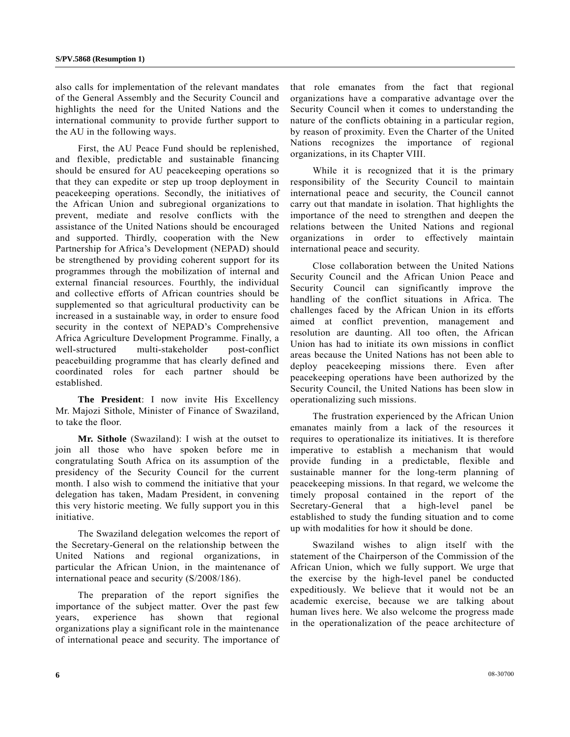also calls for implementation of the relevant mandates of the General Assembly and the Security Council and highlights the need for the United Nations and the international community to provide further support to the AU in the following ways.

 First, the AU Peace Fund should be replenished, and flexible, predictable and sustainable financing should be ensured for AU peacekeeping operations so that they can expedite or step up troop deployment in peacekeeping operations. Secondly, the initiatives of the African Union and subregional organizations to prevent, mediate and resolve conflicts with the assistance of the United Nations should be encouraged and supported. Thirdly, cooperation with the New Partnership for Africa's Development (NEPAD) should be strengthened by providing coherent support for its programmes through the mobilization of internal and external financial resources. Fourthly, the individual and collective efforts of African countries should be supplemented so that agricultural productivity can be increased in a sustainable way, in order to ensure food security in the context of NEPAD's Comprehensive Africa Agriculture Development Programme. Finally, a well-structured multi-stakeholder post-conflict peacebuilding programme that has clearly defined and coordinated roles for each partner should be established.

**The President**: I now invite His Excellency Mr. Majozi Sithole, Minister of Finance of Swaziland, to take the floor.

**Mr. Sithole** (Swaziland): I wish at the outset to join all those who have spoken before me in congratulating South Africa on its assumption of the presidency of the Security Council for the current month. I also wish to commend the initiative that your delegation has taken, Madam President, in convening this very historic meeting. We fully support you in this initiative.

 The Swaziland delegation welcomes the report of the Secretary-General on the relationship between the United Nations and regional organizations, in particular the African Union, in the maintenance of international peace and security (S/2008/186).

 The preparation of the report signifies the importance of the subject matter. Over the past few years, experience has shown that regional organizations play a significant role in the maintenance of international peace and security. The importance of that role emanates from the fact that regional organizations have a comparative advantage over the Security Council when it comes to understanding the nature of the conflicts obtaining in a particular region, by reason of proximity. Even the Charter of the United Nations recognizes the importance of regional organizations, in its Chapter VIII.

 While it is recognized that it is the primary responsibility of the Security Council to maintain international peace and security, the Council cannot carry out that mandate in isolation. That highlights the importance of the need to strengthen and deepen the relations between the United Nations and regional organizations in order to effectively maintain international peace and security.

 Close collaboration between the United Nations Security Council and the African Union Peace and Security Council can significantly improve the handling of the conflict situations in Africa. The challenges faced by the African Union in its efforts aimed at conflict prevention, management and resolution are daunting. All too often, the African Union has had to initiate its own missions in conflict areas because the United Nations has not been able to deploy peacekeeping missions there. Even after peacekeeping operations have been authorized by the Security Council, the United Nations has been slow in operationalizing such missions.

 The frustration experienced by the African Union emanates mainly from a lack of the resources it requires to operationalize its initiatives. It is therefore imperative to establish a mechanism that would provide funding in a predictable, flexible and sustainable manner for the long-term planning of peacekeeping missions. In that regard, we welcome the timely proposal contained in the report of the Secretary-General that a high-level panel be established to study the funding situation and to come up with modalities for how it should be done.

 Swaziland wishes to align itself with the statement of the Chairperson of the Commission of the African Union, which we fully support. We urge that the exercise by the high-level panel be conducted expeditiously. We believe that it would not be an academic exercise, because we are talking about human lives here. We also welcome the progress made in the operationalization of the peace architecture of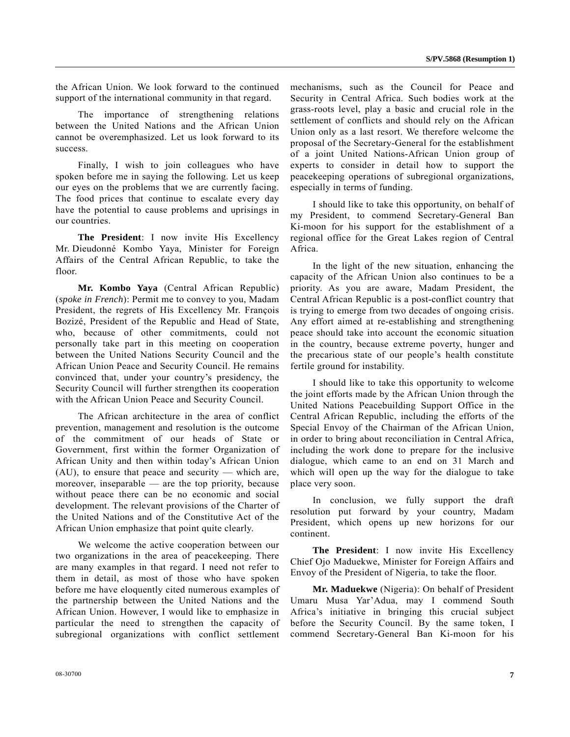the African Union. We look forward to the continued support of the international community in that regard.

 The importance of strengthening relations between the United Nations and the African Union cannot be overemphasized. Let us look forward to its success.

 Finally, I wish to join colleagues who have spoken before me in saying the following. Let us keep our eyes on the problems that we are currently facing. The food prices that continue to escalate every day have the potential to cause problems and uprisings in our countries.

**The President**: I now invite His Excellency Mr. Dieudonné Kombo Yaya, Minister for Foreign Affairs of the Central African Republic, to take the floor.

**Mr. Kombo Yaya** (Central African Republic) (*spoke in French*): Permit me to convey to you, Madam President, the regrets of His Excellency Mr. François Bozizé, President of the Republic and Head of State, who, because of other commitments, could not personally take part in this meeting on cooperation between the United Nations Security Council and the African Union Peace and Security Council. He remains convinced that, under your country's presidency, the Security Council will further strengthen its cooperation with the African Union Peace and Security Council.

 The African architecture in the area of conflict prevention, management and resolution is the outcome of the commitment of our heads of State or Government, first within the former Organization of African Unity and then within today's African Union (AU), to ensure that peace and security — which are, moreover, inseparable — are the top priority, because without peace there can be no economic and social development. The relevant provisions of the Charter of the United Nations and of the Constitutive Act of the African Union emphasize that point quite clearly.

 We welcome the active cooperation between our two organizations in the area of peacekeeping. There are many examples in that regard. I need not refer to them in detail, as most of those who have spoken before me have eloquently cited numerous examples of the partnership between the United Nations and the African Union. However, I would like to emphasize in particular the need to strengthen the capacity of subregional organizations with conflict settlement mechanisms, such as the Council for Peace and Security in Central Africa. Such bodies work at the grass-roots level, play a basic and crucial role in the settlement of conflicts and should rely on the African Union only as a last resort. We therefore welcome the proposal of the Secretary-General for the establishment of a joint United Nations-African Union group of experts to consider in detail how to support the peacekeeping operations of subregional organizations, especially in terms of funding.

 I should like to take this opportunity, on behalf of my President, to commend Secretary-General Ban Ki-moon for his support for the establishment of a regional office for the Great Lakes region of Central Africa.

 In the light of the new situation, enhancing the capacity of the African Union also continues to be a priority. As you are aware, Madam President, the Central African Republic is a post-conflict country that is trying to emerge from two decades of ongoing crisis. Any effort aimed at re-establishing and strengthening peace should take into account the economic situation in the country, because extreme poverty, hunger and the precarious state of our people's health constitute fertile ground for instability.

 I should like to take this opportunity to welcome the joint efforts made by the African Union through the United Nations Peacebuilding Support Office in the Central African Republic, including the efforts of the Special Envoy of the Chairman of the African Union, in order to bring about reconciliation in Central Africa, including the work done to prepare for the inclusive dialogue, which came to an end on 31 March and which will open up the way for the dialogue to take place very soon.

 In conclusion, we fully support the draft resolution put forward by your country, Madam President, which opens up new horizons for our continent.

**The President**: I now invite His Excellency Chief Ojo Maduekwe, Minister for Foreign Affairs and Envoy of the President of Nigeria, to take the floor.

**Mr. Maduekwe** (Nigeria): On behalf of President Umaru Musa Yar'Adua, may I commend South Africa's initiative in bringing this crucial subject before the Security Council. By the same token, I commend Secretary-General Ban Ki-moon for his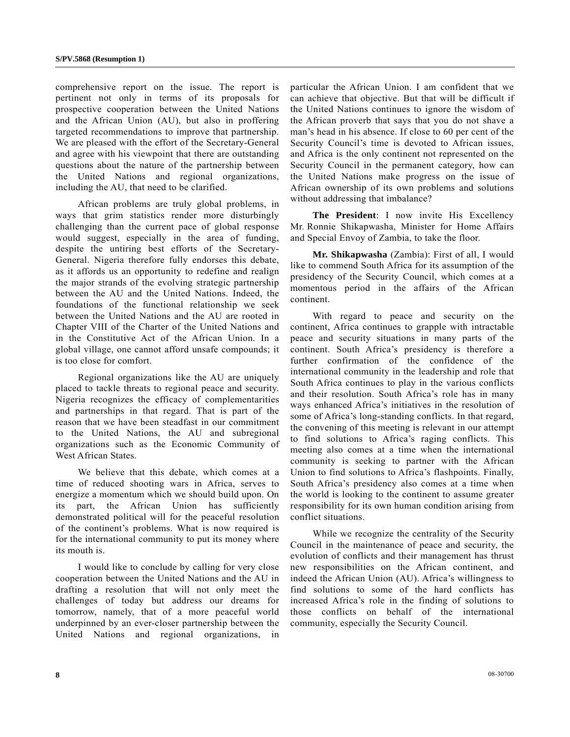comprehensive report on the issue. The report is pertinent not only in terms of its proposals for prospective cooperation between the United Nations and the African Union (AU), but also in proffering targeted recommendations to improve that partnership. We are pleased with the effort of the Secretary-General and agree with his viewpoint that there are outstanding questions about the nature of the partnership between the United Nations and regional organizations, including the AU, that need to be clarified.

 African problems are truly global problems, in ways that grim statistics render more disturbingly challenging than the current pace of global response would suggest, especially in the area of funding, despite the untiring best efforts of the Secretary-General. Nigeria therefore fully endorses this debate, as it affords us an opportunity to redefine and realign the major strands of the evolving strategic partnership between the AU and the United Nations. Indeed, the foundations of the functional relationship we seek between the United Nations and the AU are rooted in Chapter VIII of the Charter of the United Nations and in the Constitutive Act of the African Union. In a global village, one cannot afford unsafe compounds; it is too close for comfort.

 Regional organizations like the AU are uniquely placed to tackle threats to regional peace and security. Nigeria recognizes the efficacy of complementarities and partnerships in that regard. That is part of the reason that we have been steadfast in our commitment to the United Nations, the AU and subregional organizations such as the Economic Community of West African States.

 We believe that this debate, which comes at a time of reduced shooting wars in Africa, serves to energize a momentum which we should build upon. On its part, the African Union has sufficiently demonstrated political will for the peaceful resolution of the continent's problems. What is now required is for the international community to put its money where its mouth is.

 I would like to conclude by calling for very close cooperation between the United Nations and the AU in drafting a resolution that will not only meet the challenges of today but address our dreams for tomorrow, namely, that of a more peaceful world underpinned by an ever-closer partnership between the United Nations and regional organizations, in particular the African Union. I am confident that we can achieve that objective. But that will be difficult if the United Nations continues to ignore the wisdom of the African proverb that says that you do not shave a man's head in his absence. If close to 60 per cent of the Security Council's time is devoted to African issues, and Africa is the only continent not represented on the Security Council in the permanent category, how can the United Nations make progress on the issue of African ownership of its own problems and solutions without addressing that imbalance?

 **The President**: I now invite His Excellency Mr. Ronnie Shikapwasha, Minister for Home Affairs and Special Envoy of Zambia, to take the floor.

**Mr. Shikapwasha** (Zambia): First of all, I would like to commend South Africa for its assumption of the presidency of the Security Council, which comes at a momentous period in the affairs of the African continent.

 With regard to peace and security on the continent, Africa continues to grapple with intractable peace and security situations in many parts of the continent. South Africa's presidency is therefore a further confirmation of the confidence of the international community in the leadership and role that South Africa continues to play in the various conflicts and their resolution. South Africa's role has in many ways enhanced Africa's initiatives in the resolution of some of Africa's long-standing conflicts. In that regard, the convening of this meeting is relevant in our attempt to find solutions to Africa's raging conflicts. This meeting also comes at a time when the international community is seeking to partner with the African Union to find solutions to Africa's flashpoints. Finally, South Africa's presidency also comes at a time when the world is looking to the continent to assume greater responsibility for its own human condition arising from conflict situations.

 While we recognize the centrality of the Security Council in the maintenance of peace and security, the evolution of conflicts and their management has thrust new responsibilities on the African continent, and indeed the African Union (AU). Africa's willingness to find solutions to some of the hard conflicts has increased Africa's role in the finding of solutions to those conflicts on behalf of the international community, especially the Security Council.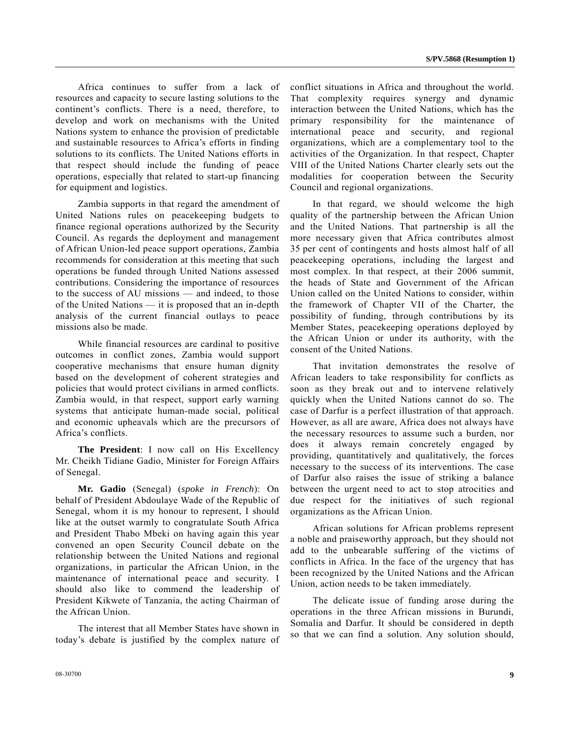Africa continues to suffer from a lack of resources and capacity to secure lasting solutions to the continent's conflicts. There is a need, therefore, to develop and work on mechanisms with the United Nations system to enhance the provision of predictable and sustainable resources to Africa's efforts in finding solutions to its conflicts. The United Nations efforts in that respect should include the funding of peace operations, especially that related to start-up financing for equipment and logistics.

 Zambia supports in that regard the amendment of United Nations rules on peacekeeping budgets to finance regional operations authorized by the Security Council. As regards the deployment and management of African Union-led peace support operations, Zambia recommends for consideration at this meeting that such operations be funded through United Nations assessed contributions. Considering the importance of resources to the success of AU missions — and indeed, to those of the United Nations — it is proposed that an in-depth analysis of the current financial outlays to peace missions also be made.

 While financial resources are cardinal to positive outcomes in conflict zones, Zambia would support cooperative mechanisms that ensure human dignity based on the development of coherent strategies and policies that would protect civilians in armed conflicts. Zambia would, in that respect, support early warning systems that anticipate human-made social, political and economic upheavals which are the precursors of Africa's conflicts.

**The President**: I now call on His Excellency Mr. Cheikh Tidiane Gadio, Minister for Foreign Affairs of Senegal.

**Mr. Gadio** (Senegal) (*spoke in French*): On behalf of President Abdoulaye Wade of the Republic of Senegal, whom it is my honour to represent, I should like at the outset warmly to congratulate South Africa and President Thabo Mbeki on having again this year convened an open Security Council debate on the relationship between the United Nations and regional organizations, in particular the African Union, in the maintenance of international peace and security. I should also like to commend the leadership of President Kikwete of Tanzania, the acting Chairman of the African Union.

 The interest that all Member States have shown in today's debate is justified by the complex nature of conflict situations in Africa and throughout the world. That complexity requires synergy and dynamic interaction between the United Nations, which has the primary responsibility for the maintenance of international peace and security, and regional organizations, which are a complementary tool to the activities of the Organization. In that respect, Chapter VIII of the United Nations Charter clearly sets out the modalities for cooperation between the Security Council and regional organizations.

 In that regard, we should welcome the high quality of the partnership between the African Union and the United Nations. That partnership is all the more necessary given that Africa contributes almost 35 per cent of contingents and hosts almost half of all peacekeeping operations, including the largest and most complex. In that respect, at their 2006 summit, the heads of State and Government of the African Union called on the United Nations to consider, within the framework of Chapter VII of the Charter, the possibility of funding, through contributions by its Member States, peacekeeping operations deployed by the African Union or under its authority, with the consent of the United Nations.

 That invitation demonstrates the resolve of African leaders to take responsibility for conflicts as soon as they break out and to intervene relatively quickly when the United Nations cannot do so. The case of Darfur is a perfect illustration of that approach. However, as all are aware, Africa does not always have the necessary resources to assume such a burden, nor does it always remain concretely engaged by providing, quantitatively and qualitatively, the forces necessary to the success of its interventions. The case of Darfur also raises the issue of striking a balance between the urgent need to act to stop atrocities and due respect for the initiatives of such regional organizations as the African Union.

 African solutions for African problems represent a noble and praiseworthy approach, but they should not add to the unbearable suffering of the victims of conflicts in Africa. In the face of the urgency that has been recognized by the United Nations and the African Union, action needs to be taken immediately.

 The delicate issue of funding arose during the operations in the three African missions in Burundi, Somalia and Darfur. It should be considered in depth so that we can find a solution. Any solution should,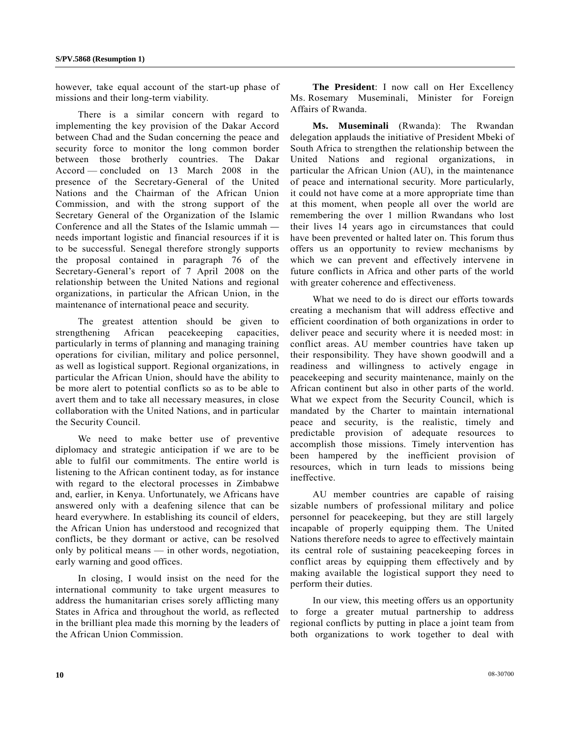however, take equal account of the start-up phase of missions and their long-term viability.

 There is a similar concern with regard to implementing the key provision of the Dakar Accord between Chad and the Sudan concerning the peace and security force to monitor the long common border between those brotherly countries. The Dakar Accord — concluded on 13 March 2008 in the presence of the Secretary-General of the United Nations and the Chairman of the African Union Commission, and with the strong support of the Secretary General of the Organization of the Islamic Conference and all the States of the Islamic ummah needs important logistic and financial resources if it is to be successful. Senegal therefore strongly supports the proposal contained in paragraph 76 of the Secretary-General's report of 7 April 2008 on the relationship between the United Nations and regional organizations, in particular the African Union, in the maintenance of international peace and security.

 The greatest attention should be given to strengthening African peacekeeping capacities, particularly in terms of planning and managing training operations for civilian, military and police personnel, as well as logistical support. Regional organizations, in particular the African Union, should have the ability to be more alert to potential conflicts so as to be able to avert them and to take all necessary measures, in close collaboration with the United Nations, and in particular the Security Council.

 We need to make better use of preventive diplomacy and strategic anticipation if we are to be able to fulfil our commitments. The entire world is listening to the African continent today, as for instance with regard to the electoral processes in Zimbabwe and, earlier, in Kenya. Unfortunately, we Africans have answered only with a deafening silence that can be heard everywhere. In establishing its council of elders, the African Union has understood and recognized that conflicts, be they dormant or active, can be resolved only by political means — in other words, negotiation, early warning and good offices.

 In closing, I would insist on the need for the international community to take urgent measures to address the humanitarian crises sorely afflicting many States in Africa and throughout the world, as reflected in the brilliant plea made this morning by the leaders of the African Union Commission.

**The President**: I now call on Her Excellency Ms. Rosemary Museminali, Minister for Foreign Affairs of Rwanda.

**Ms. Museminali** (Rwanda): The Rwandan delegation applauds the initiative of President Mbeki of South Africa to strengthen the relationship between the United Nations and regional organizations, in particular the African Union (AU), in the maintenance of peace and international security. More particularly, it could not have come at a more appropriate time than at this moment, when people all over the world are remembering the over 1 million Rwandans who lost their lives 14 years ago in circumstances that could have been prevented or halted later on. This forum thus offers us an opportunity to review mechanisms by which we can prevent and effectively intervene in future conflicts in Africa and other parts of the world with greater coherence and effectiveness.

 What we need to do is direct our efforts towards creating a mechanism that will address effective and efficient coordination of both organizations in order to deliver peace and security where it is needed most: in conflict areas. AU member countries have taken up their responsibility. They have shown goodwill and a readiness and willingness to actively engage in peacekeeping and security maintenance, mainly on the African continent but also in other parts of the world. What we expect from the Security Council, which is mandated by the Charter to maintain international peace and security, is the realistic, timely and predictable provision of adequate resources to accomplish those missions. Timely intervention has been hampered by the inefficient provision of resources, which in turn leads to missions being ineffective.

 AU member countries are capable of raising sizable numbers of professional military and police personnel for peacekeeping, but they are still largely incapable of properly equipping them. The United Nations therefore needs to agree to effectively maintain its central role of sustaining peacekeeping forces in conflict areas by equipping them effectively and by making available the logistical support they need to perform their duties.

 In our view, this meeting offers us an opportunity to forge a greater mutual partnership to address regional conflicts by putting in place a joint team from both organizations to work together to deal with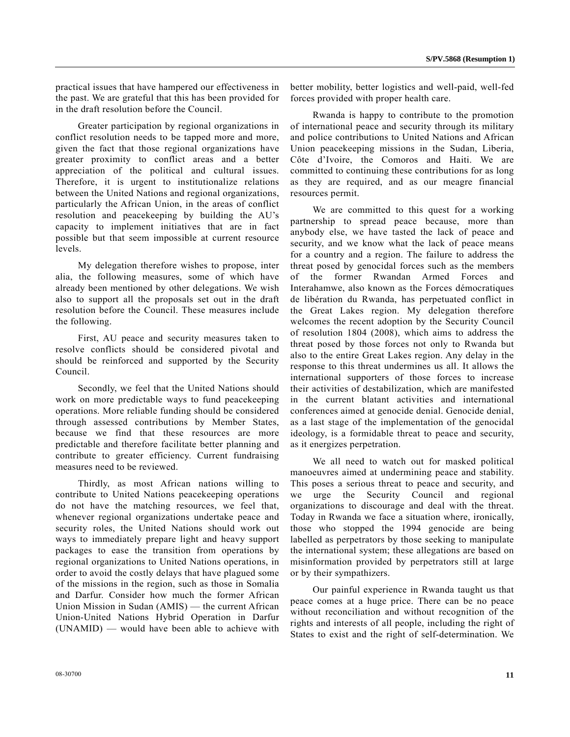practical issues that have hampered our effectiveness in the past. We are grateful that this has been provided for in the draft resolution before the Council.

 Greater participation by regional organizations in conflict resolution needs to be tapped more and more, given the fact that those regional organizations have greater proximity to conflict areas and a better appreciation of the political and cultural issues. Therefore, it is urgent to institutionalize relations between the United Nations and regional organizations, particularly the African Union, in the areas of conflict resolution and peacekeeping by building the AU's capacity to implement initiatives that are in fact possible but that seem impossible at current resource levels.

 My delegation therefore wishes to propose, inter alia, the following measures, some of which have already been mentioned by other delegations. We wish also to support all the proposals set out in the draft resolution before the Council. These measures include the following.

 First, AU peace and security measures taken to resolve conflicts should be considered pivotal and should be reinforced and supported by the Security Council.

 Secondly, we feel that the United Nations should work on more predictable ways to fund peacekeeping operations. More reliable funding should be considered through assessed contributions by Member States, because we find that these resources are more predictable and therefore facilitate better planning and contribute to greater efficiency. Current fundraising measures need to be reviewed.

 Thirdly, as most African nations willing to contribute to United Nations peacekeeping operations do not have the matching resources, we feel that, whenever regional organizations undertake peace and security roles, the United Nations should work out ways to immediately prepare light and heavy support packages to ease the transition from operations by regional organizations to United Nations operations, in order to avoid the costly delays that have plagued some of the missions in the region, such as those in Somalia and Darfur. Consider how much the former African Union Mission in Sudan (AMIS) — the current African Union-United Nations Hybrid Operation in Darfur (UNAMID) — would have been able to achieve with

better mobility, better logistics and well-paid, well-fed forces provided with proper health care.

 Rwanda is happy to contribute to the promotion of international peace and security through its military and police contributions to United Nations and African Union peacekeeping missions in the Sudan, Liberia, Côte d'Ivoire, the Comoros and Haiti. We are committed to continuing these contributions for as long as they are required, and as our meagre financial resources permit.

 We are committed to this quest for a working partnership to spread peace because, more than anybody else, we have tasted the lack of peace and security, and we know what the lack of peace means for a country and a region. The failure to address the threat posed by genocidal forces such as the members of the former Rwandan Armed Forces and Interahamwe, also known as the Forces démocratiques de libération du Rwanda, has perpetuated conflict in the Great Lakes region. My delegation therefore welcomes the recent adoption by the Security Council of resolution 1804 (2008), which aims to address the threat posed by those forces not only to Rwanda but also to the entire Great Lakes region. Any delay in the response to this threat undermines us all. It allows the international supporters of those forces to increase their activities of destabilization, which are manifested in the current blatant activities and international conferences aimed at genocide denial. Genocide denial, as a last stage of the implementation of the genocidal ideology, is a formidable threat to peace and security, as it energizes perpetration.

 We all need to watch out for masked political manoeuvres aimed at undermining peace and stability. This poses a serious threat to peace and security, and we urge the Security Council and regional organizations to discourage and deal with the threat. Today in Rwanda we face a situation where, ironically, those who stopped the 1994 genocide are being labelled as perpetrators by those seeking to manipulate the international system; these allegations are based on misinformation provided by perpetrators still at large or by their sympathizers.

 Our painful experience in Rwanda taught us that peace comes at a huge price. There can be no peace without reconciliation and without recognition of the rights and interests of all people, including the right of States to exist and the right of self-determination. We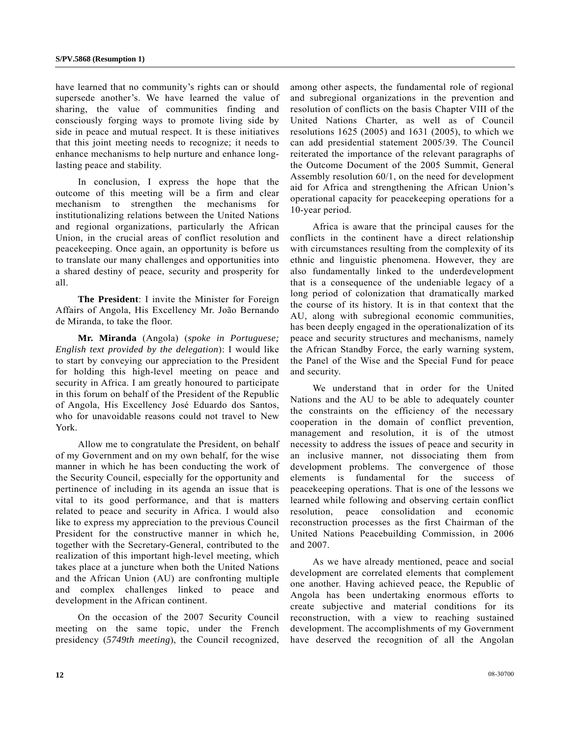have learned that no community's rights can or should supersede another's. We have learned the value of sharing, the value of communities finding and consciously forging ways to promote living side by side in peace and mutual respect. It is these initiatives that this joint meeting needs to recognize; it needs to enhance mechanisms to help nurture and enhance longlasting peace and stability.

 In conclusion, I express the hope that the outcome of this meeting will be a firm and clear mechanism to strengthen the mechanisms for institutionalizing relations between the United Nations and regional organizations, particularly the African Union, in the crucial areas of conflict resolution and peacekeeping. Once again, an opportunity is before us to translate our many challenges and opportunities into a shared destiny of peace, security and prosperity for all.

**The President**: I invite the Minister for Foreign Affairs of Angola, His Excellency Mr. João Bernando de Miranda, to take the floor.

**Mr. Miranda** (Angola) (*spoke in Portuguese; English text provided by the delegation*): I would like to start by conveying our appreciation to the President for holding this high-level meeting on peace and security in Africa. I am greatly honoured to participate in this forum on behalf of the President of the Republic of Angola, His Excellency José Eduardo dos Santos, who for unavoidable reasons could not travel to New York.

 Allow me to congratulate the President, on behalf of my Government and on my own behalf, for the wise manner in which he has been conducting the work of the Security Council, especially for the opportunity and pertinence of including in its agenda an issue that is vital to its good performance, and that is matters related to peace and security in Africa. I would also like to express my appreciation to the previous Council President for the constructive manner in which he, together with the Secretary-General, contributed to the realization of this important high-level meeting, which takes place at a juncture when both the United Nations and the African Union (AU) are confronting multiple and complex challenges linked to peace and development in the African continent.

 On the occasion of the 2007 Security Council meeting on the same topic, under the French presidency (*5749th meeting*), the Council recognized, among other aspects, the fundamental role of regional and subregional organizations in the prevention and resolution of conflicts on the basis Chapter VIII of the United Nations Charter, as well as of Council resolutions 1625 (2005) and 1631 (2005), to which we can add presidential statement 2005/39. The Council reiterated the importance of the relevant paragraphs of the Outcome Document of the 2005 Summit, General Assembly resolution 60/1, on the need for development aid for Africa and strengthening the African Union's operational capacity for peacekeeping operations for a 10-year period.

 Africa is aware that the principal causes for the conflicts in the continent have a direct relationship with circumstances resulting from the complexity of its ethnic and linguistic phenomena. However, they are also fundamentally linked to the underdevelopment that is a consequence of the undeniable legacy of a long period of colonization that dramatically marked the course of its history. It is in that context that the AU, along with subregional economic communities, has been deeply engaged in the operationalization of its peace and security structures and mechanisms, namely the African Standby Force, the early warning system, the Panel of the Wise and the Special Fund for peace and security.

 We understand that in order for the United Nations and the AU to be able to adequately counter the constraints on the efficiency of the necessary cooperation in the domain of conflict prevention, management and resolution, it is of the utmost necessity to address the issues of peace and security in an inclusive manner, not dissociating them from development problems. The convergence of those elements is fundamental for the success of peacekeeping operations. That is one of the lessons we learned while following and observing certain conflict resolution, peace consolidation and economic reconstruction processes as the first Chairman of the United Nations Peacebuilding Commission, in 2006 and 2007.

 As we have already mentioned, peace and social development are correlated elements that complement one another. Having achieved peace, the Republic of Angola has been undertaking enormous efforts to create subjective and material conditions for its reconstruction, with a view to reaching sustained development. The accomplishments of my Government have deserved the recognition of all the Angolan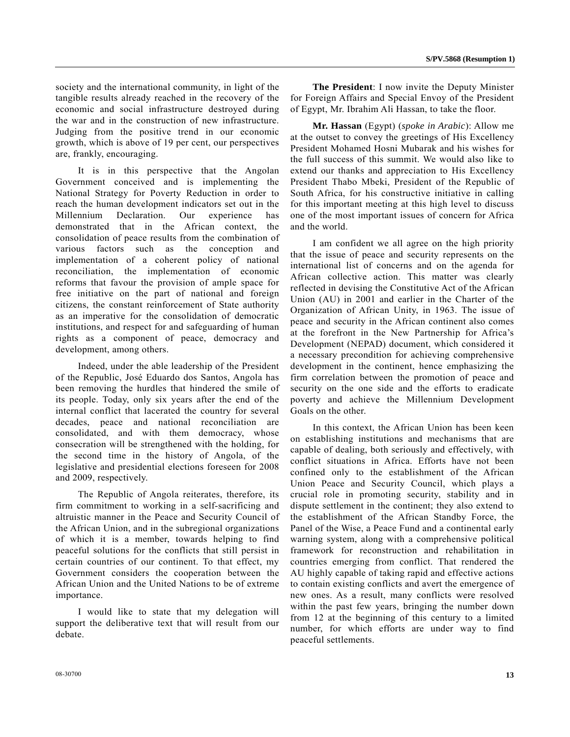society and the international community, in light of the tangible results already reached in the recovery of the economic and social infrastructure destroyed during the war and in the construction of new infrastructure. Judging from the positive trend in our economic growth, which is above of 19 per cent, our perspectives are, frankly, encouraging.

 It is in this perspective that the Angolan Government conceived and is implementing the National Strategy for Poverty Reduction in order to reach the human development indicators set out in the Millennium Declaration. Our experience has demonstrated that in the African context, the consolidation of peace results from the combination of various factors such as the conception and implementation of a coherent policy of national reconciliation, the implementation of economic reforms that favour the provision of ample space for free initiative on the part of national and foreign citizens, the constant reinforcement of State authority as an imperative for the consolidation of democratic institutions, and respect for and safeguarding of human rights as a component of peace, democracy and development, among others.

 Indeed, under the able leadership of the President of the Republic, José Eduardo dos Santos, Angola has been removing the hurdles that hindered the smile of its people. Today, only six years after the end of the internal conflict that lacerated the country for several decades, peace and national reconciliation are consolidated, and with them democracy, whose consecration will be strengthened with the holding, for the second time in the history of Angola, of the legislative and presidential elections foreseen for 2008 and 2009, respectively.

 The Republic of Angola reiterates, therefore, its firm commitment to working in a self-sacrificing and altruistic manner in the Peace and Security Council of the African Union, and in the subregional organizations of which it is a member, towards helping to find peaceful solutions for the conflicts that still persist in certain countries of our continent. To that effect, my Government considers the cooperation between the African Union and the United Nations to be of extreme importance.

 I would like to state that my delegation will support the deliberative text that will result from our debate.

**The President**: I now invite the Deputy Minister for Foreign Affairs and Special Envoy of the President of Egypt, Mr. Ibrahim Ali Hassan, to take the floor.

**Mr. Hassan** (Egypt) (*spoke in Arabic*): Allow me at the outset to convey the greetings of His Excellency President Mohamed Hosni Mubarak and his wishes for the full success of this summit. We would also like to extend our thanks and appreciation to His Excellency President Thabo Mbeki, President of the Republic of South Africa, for his constructive initiative in calling for this important meeting at this high level to discuss one of the most important issues of concern for Africa and the world.

 I am confident we all agree on the high priority that the issue of peace and security represents on the international list of concerns and on the agenda for African collective action. This matter was clearly reflected in devising the Constitutive Act of the African Union (AU) in 2001 and earlier in the Charter of the Organization of African Unity, in 1963. The issue of peace and security in the African continent also comes at the forefront in the New Partnership for Africa's Development (NEPAD) document, which considered it a necessary precondition for achieving comprehensive development in the continent, hence emphasizing the firm correlation between the promotion of peace and security on the one side and the efforts to eradicate poverty and achieve the Millennium Development Goals on the other.

 In this context, the African Union has been keen on establishing institutions and mechanisms that are capable of dealing, both seriously and effectively, with conflict situations in Africa. Efforts have not been confined only to the establishment of the African Union Peace and Security Council, which plays a crucial role in promoting security, stability and in dispute settlement in the continent; they also extend to the establishment of the African Standby Force, the Panel of the Wise, a Peace Fund and a continental early warning system, along with a comprehensive political framework for reconstruction and rehabilitation in countries emerging from conflict. That rendered the AU highly capable of taking rapid and effective actions to contain existing conflicts and avert the emergence of new ones. As a result, many conflicts were resolved within the past few years, bringing the number down from 12 at the beginning of this century to a limited number, for which efforts are under way to find peaceful settlements.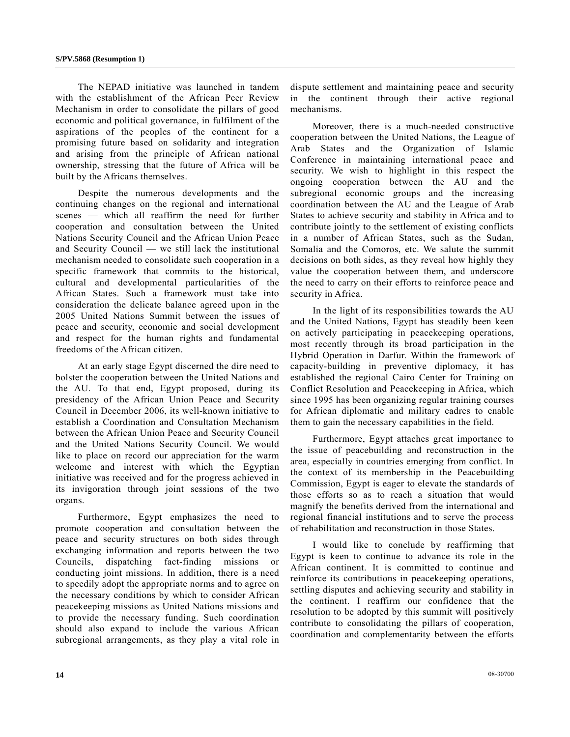The NEPAD initiative was launched in tandem with the establishment of the African Peer Review Mechanism in order to consolidate the pillars of good economic and political governance, in fulfilment of the aspirations of the peoples of the continent for a promising future based on solidarity and integration and arising from the principle of African national ownership, stressing that the future of Africa will be built by the Africans themselves.

 Despite the numerous developments and the continuing changes on the regional and international scenes — which all reaffirm the need for further cooperation and consultation between the United Nations Security Council and the African Union Peace and Security Council — we still lack the institutional mechanism needed to consolidate such cooperation in a specific framework that commits to the historical, cultural and developmental particularities of the African States. Such a framework must take into consideration the delicate balance agreed upon in the 2005 United Nations Summit between the issues of peace and security, economic and social development and respect for the human rights and fundamental freedoms of the African citizen.

 At an early stage Egypt discerned the dire need to bolster the cooperation between the United Nations and the AU. To that end, Egypt proposed, during its presidency of the African Union Peace and Security Council in December 2006, its well-known initiative to establish a Coordination and Consultation Mechanism between the African Union Peace and Security Council and the United Nations Security Council. We would like to place on record our appreciation for the warm welcome and interest with which the Egyptian initiative was received and for the progress achieved in its invigoration through joint sessions of the two organs.

 Furthermore, Egypt emphasizes the need to promote cooperation and consultation between the peace and security structures on both sides through exchanging information and reports between the two Councils, dispatching fact-finding missions or conducting joint missions. In addition, there is a need to speedily adopt the appropriate norms and to agree on the necessary conditions by which to consider African peacekeeping missions as United Nations missions and to provide the necessary funding. Such coordination should also expand to include the various African subregional arrangements, as they play a vital role in dispute settlement and maintaining peace and security in the continent through their active regional mechanisms.

 Moreover, there is a much-needed constructive cooperation between the United Nations, the League of Arab States and the Organization of Islamic Conference in maintaining international peace and security. We wish to highlight in this respect the ongoing cooperation between the AU and the subregional economic groups and the increasing coordination between the AU and the League of Arab States to achieve security and stability in Africa and to contribute jointly to the settlement of existing conflicts in a number of African States, such as the Sudan, Somalia and the Comoros, etc. We salute the summit decisions on both sides, as they reveal how highly they value the cooperation between them, and underscore the need to carry on their efforts to reinforce peace and security in Africa.

 In the light of its responsibilities towards the AU and the United Nations, Egypt has steadily been keen on actively participating in peacekeeping operations, most recently through its broad participation in the Hybrid Operation in Darfur. Within the framework of capacity-building in preventive diplomacy, it has established the regional Cairo Center for Training on Conflict Resolution and Peacekeeping in Africa, which since 1995 has been organizing regular training courses for African diplomatic and military cadres to enable them to gain the necessary capabilities in the field.

 Furthermore, Egypt attaches great importance to the issue of peacebuilding and reconstruction in the area, especially in countries emerging from conflict. In the context of its membership in the Peacebuilding Commission, Egypt is eager to elevate the standards of those efforts so as to reach a situation that would magnify the benefits derived from the international and regional financial institutions and to serve the process of rehabilitation and reconstruction in those States.

 I would like to conclude by reaffirming that Egypt is keen to continue to advance its role in the African continent. It is committed to continue and reinforce its contributions in peacekeeping operations, settling disputes and achieving security and stability in the continent. I reaffirm our confidence that the resolution to be adopted by this summit will positively contribute to consolidating the pillars of cooperation, coordination and complementarity between the efforts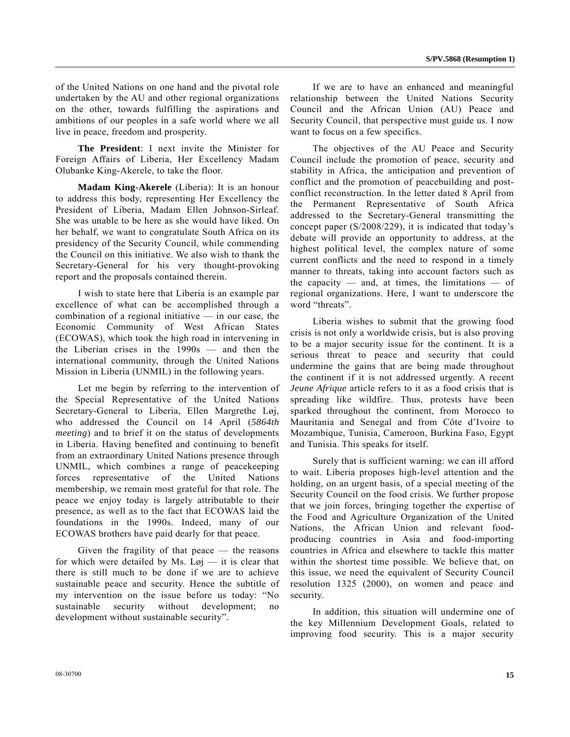of the United Nations on one hand and the pivotal role undertaken by the AU and other regional organizations on the other, towards fulfilling the aspirations and ambitions of our peoples in a safe world where we all live in peace, freedom and prosperity.

 **The President**: I next invite the Minister for Foreign Affairs of Liberia, Her Excellency Madam Olubanke King-Akerele, to take the floor.

 **Madam King-Akerele** (Liberia): It is an honour to address this body, representing Her Excellency the President of Liberia, Madam Ellen Johnson-Sirleaf. She was unable to be here as she would have liked. On her behalf, we want to congratulate South Africa on its presidency of the Security Council, while commending the Council on this initiative. We also wish to thank the Secretary-General for his very thought-provoking report and the proposals contained therein.

 I wish to state here that Liberia is an example par excellence of what can be accomplished through a combination of a regional initiative — in our case, the Economic Community of West African States (ECOWAS), which took the high road in intervening in the Liberian crises in the 1990s — and then the international community, through the United Nations Mission in Liberia (UNMIL) in the following years.

 Let me begin by referring to the intervention of the Special Representative of the United Nations Secretary-General to Liberia, Ellen Margrethe Løj, who addressed the Council on 14 April (*5864th meeting*) and to brief it on the status of developments in Liberia. Having benefited and continuing to benefit from an extraordinary United Nations presence through UNMIL, which combines a range of peacekeeping forces representative of the United Nations membership, we remain most grateful for that role. The peace we enjoy today is largely attributable to their presence, as well as to the fact that ECOWAS laid the foundations in the 1990s. Indeed, many of our ECOWAS brothers have paid dearly for that peace.

 Given the fragility of that peace — the reasons for which were detailed by Ms. Løj — it is clear that there is still much to be done if we are to achieve sustainable peace and security. Hence the subtitle of my intervention on the issue before us today: "No sustainable security without development; no development without sustainable security".

 If we are to have an enhanced and meaningful relationship between the United Nations Security Council and the African Union (AU) Peace and Security Council, that perspective must guide us. I now want to focus on a few specifics.

 The objectives of the AU Peace and Security Council include the promotion of peace, security and stability in Africa, the anticipation and prevention of conflict and the promotion of peacebuilding and postconflict reconstruction. In the letter dated 8 April from the Permanent Representative of South Africa addressed to the Secretary-General transmitting the concept paper (S/2008/229), it is indicated that today's debate will provide an opportunity to address, at the highest political level, the complex nature of some current conflicts and the need to respond in a timely manner to threats, taking into account factors such as the capacity — and, at times, the limitations — of regional organizations. Here, I want to underscore the word "threats".

 Liberia wishes to submit that the growing food crisis is not only a worldwide crisis, but is also proving to be a major security issue for the continent. It is a serious threat to peace and security that could undermine the gains that are being made throughout the continent if it is not addressed urgently. A recent *Jeune Afrique* article refers to it as a food crisis that is spreading like wildfire. Thus, protests have been sparked throughout the continent, from Morocco to Mauritania and Senegal and from Côte d'Ivoire to Mozambique, Tunisia, Cameroon, Burkina Faso, Egypt and Tunisia. This speaks for itself.

 Surely that is sufficient warning: we can ill afford to wait. Liberia proposes high-level attention and the holding, on an urgent basis, of a special meeting of the Security Council on the food crisis. We further propose that we join forces, bringing together the expertise of the Food and Agriculture Organization of the United Nations, the African Union and relevant foodproducing countries in Asia and food-importing countries in Africa and elsewhere to tackle this matter within the shortest time possible. We believe that, on this issue, we need the equivalent of Security Council resolution 1325 (2000), on women and peace and security.

 In addition, this situation will undermine one of the key Millennium Development Goals, related to improving food security. This is a major security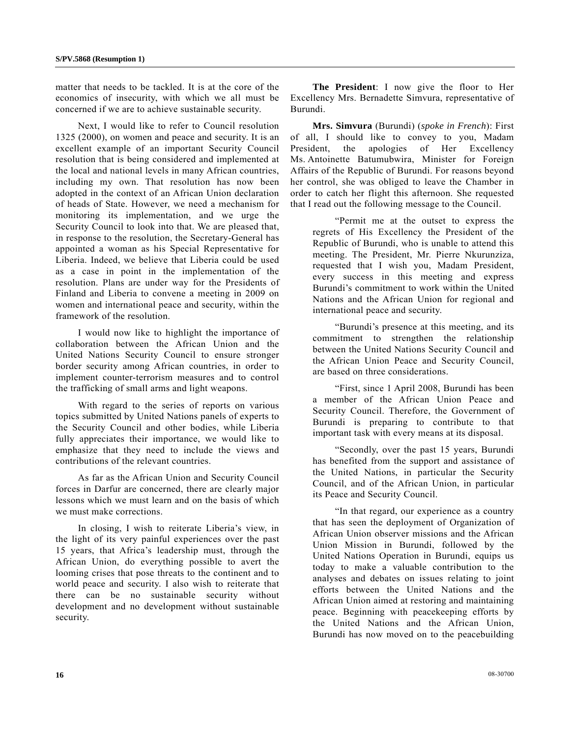matter that needs to be tackled. It is at the core of the economics of insecurity, with which we all must be concerned if we are to achieve sustainable security.

 Next, I would like to refer to Council resolution 1325 (2000), on women and peace and security. It is an excellent example of an important Security Council resolution that is being considered and implemented at the local and national levels in many African countries, including my own. That resolution has now been adopted in the context of an African Union declaration of heads of State. However, we need a mechanism for monitoring its implementation, and we urge the Security Council to look into that. We are pleased that, in response to the resolution, the Secretary-General has appointed a woman as his Special Representative for Liberia. Indeed, we believe that Liberia could be used as a case in point in the implementation of the resolution. Plans are under way for the Presidents of Finland and Liberia to convene a meeting in 2009 on women and international peace and security, within the framework of the resolution.

 I would now like to highlight the importance of collaboration between the African Union and the United Nations Security Council to ensure stronger border security among African countries, in order to implement counter-terrorism measures and to control the trafficking of small arms and light weapons.

 With regard to the series of reports on various topics submitted by United Nations panels of experts to the Security Council and other bodies, while Liberia fully appreciates their importance, we would like to emphasize that they need to include the views and contributions of the relevant countries.

 As far as the African Union and Security Council forces in Darfur are concerned, there are clearly major lessons which we must learn and on the basis of which we must make corrections.

 In closing, I wish to reiterate Liberia's view, in the light of its very painful experiences over the past 15 years, that Africa's leadership must, through the African Union, do everything possible to avert the looming crises that pose threats to the continent and to world peace and security. I also wish to reiterate that there can be no sustainable security without development and no development without sustainable security.

**The President**: I now give the floor to Her Excellency Mrs. Bernadette Simvura, representative of Burundi.

**Mrs. Simvura** (Burundi) (*spoke in French*): First of all, I should like to convey to you, Madam President, the apologies of Her Excellency Ms. Antoinette Batumubwira, Minister for Foreign Affairs of the Republic of Burundi. For reasons beyond her control, she was obliged to leave the Chamber in order to catch her flight this afternoon. She requested that I read out the following message to the Council.

 "Permit me at the outset to express the regrets of His Excellency the President of the Republic of Burundi, who is unable to attend this meeting. The President, Mr. Pierre Nkurunziza, requested that I wish you, Madam President, every success in this meeting and express Burundi's commitment to work within the United Nations and the African Union for regional and international peace and security.

 "Burundi's presence at this meeting, and its commitment to strengthen the relationship between the United Nations Security Council and the African Union Peace and Security Council, are based on three considerations.

 "First, since 1 April 2008, Burundi has been a member of the African Union Peace and Security Council. Therefore, the Government of Burundi is preparing to contribute to that important task with every means at its disposal.

 "Secondly, over the past 15 years, Burundi has benefited from the support and assistance of the United Nations, in particular the Security Council, and of the African Union, in particular its Peace and Security Council.

 "In that regard, our experience as a country that has seen the deployment of Organization of African Union observer missions and the African Union Mission in Burundi, followed by the United Nations Operation in Burundi, equips us today to make a valuable contribution to the analyses and debates on issues relating to joint efforts between the United Nations and the African Union aimed at restoring and maintaining peace. Beginning with peacekeeping efforts by the United Nations and the African Union, Burundi has now moved on to the peacebuilding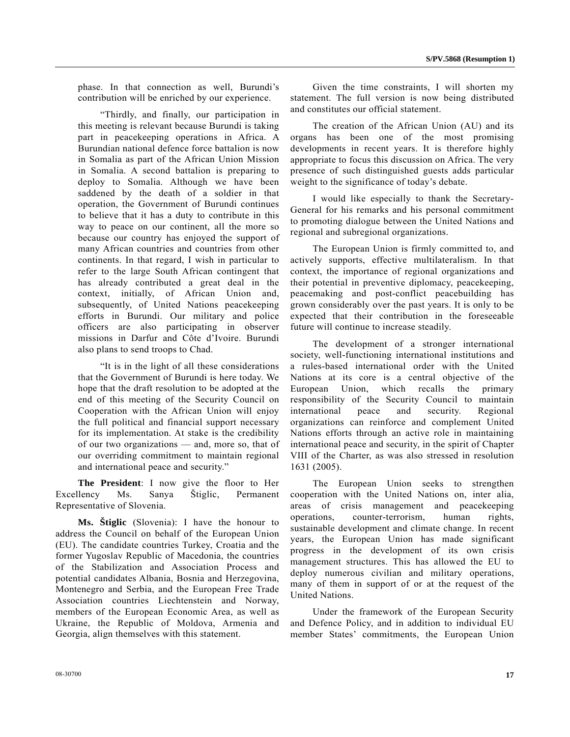phase. In that connection as well, Burundi's contribution will be enriched by our experience.

 "Thirdly, and finally, our participation in this meeting is relevant because Burundi is taking part in peacekeeping operations in Africa. A Burundian national defence force battalion is now in Somalia as part of the African Union Mission in Somalia. A second battalion is preparing to deploy to Somalia. Although we have been saddened by the death of a soldier in that operation, the Government of Burundi continues to believe that it has a duty to contribute in this way to peace on our continent, all the more so because our country has enjoyed the support of many African countries and countries from other continents. In that regard, I wish in particular to refer to the large South African contingent that has already contributed a great deal in the context, initially, of African Union and, subsequently, of United Nations peacekeeping efforts in Burundi. Our military and police officers are also participating in observer missions in Darfur and Côte d'Ivoire. Burundi also plans to send troops to Chad.

 "It is in the light of all these considerations that the Government of Burundi is here today. We hope that the draft resolution to be adopted at the end of this meeting of the Security Council on Cooperation with the African Union will enjoy the full political and financial support necessary for its implementation. At stake is the credibility of our two organizations — and, more so, that of our overriding commitment to maintain regional and international peace and security."

**The President**: I now give the floor to Her Excellency Ms. Sanya Štiglic, Permanent Representative of Slovenia.

**Ms. Štiglic** (Slovenia): I have the honour to address the Council on behalf of the European Union (EU). The candidate countries Turkey, Croatia and the former Yugoslav Republic of Macedonia, the countries of the Stabilization and Association Process and potential candidates Albania, Bosnia and Herzegovina, Montenegro and Serbia, and the European Free Trade Association countries Liechtenstein and Norway, members of the European Economic Area, as well as Ukraine, the Republic of Moldova, Armenia and Georgia, align themselves with this statement.

 Given the time constraints, I will shorten my statement. The full version is now being distributed and constitutes our official statement.

 The creation of the African Union (AU) and its organs has been one of the most promising developments in recent years. It is therefore highly appropriate to focus this discussion on Africa. The very presence of such distinguished guests adds particular weight to the significance of today's debate.

 I would like especially to thank the Secretary-General for his remarks and his personal commitment to promoting dialogue between the United Nations and regional and subregional organizations.

 The European Union is firmly committed to, and actively supports, effective multilateralism. In that context, the importance of regional organizations and their potential in preventive diplomacy, peacekeeping, peacemaking and post-conflict peacebuilding has grown considerably over the past years. It is only to be expected that their contribution in the foreseeable future will continue to increase steadily.

 The development of a stronger international society, well-functioning international institutions and a rules-based international order with the United Nations at its core is a central objective of the European Union, which recalls the primary responsibility of the Security Council to maintain international peace and security. Regional organizations can reinforce and complement United Nations efforts through an active role in maintaining international peace and security, in the spirit of Chapter VIII of the Charter, as was also stressed in resolution 1631 (2005).

 The European Union seeks to strengthen cooperation with the United Nations on, inter alia, areas of crisis management and peacekeeping operations, counter-terrorism, human rights, sustainable development and climate change. In recent years, the European Union has made significant progress in the development of its own crisis management structures. This has allowed the EU to deploy numerous civilian and military operations, many of them in support of or at the request of the United Nations.

 Under the framework of the European Security and Defence Policy, and in addition to individual EU member States' commitments, the European Union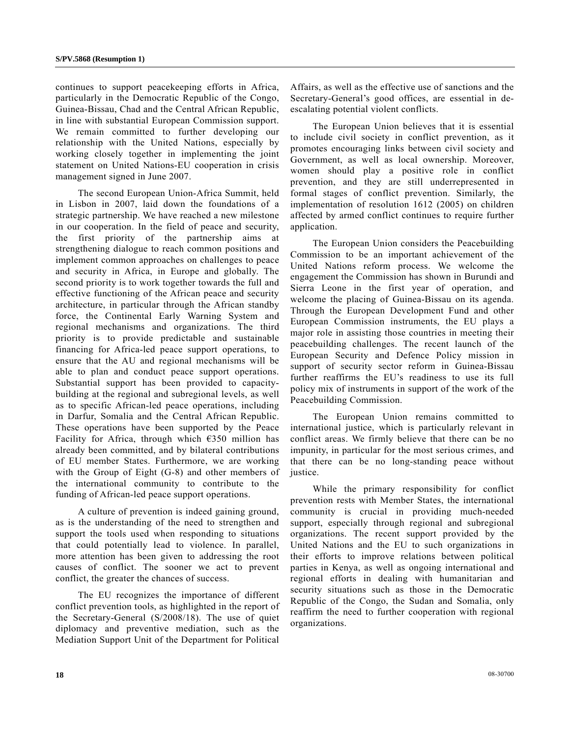continues to support peacekeeping efforts in Africa, particularly in the Democratic Republic of the Congo, Guinea-Bissau, Chad and the Central African Republic, in line with substantial European Commission support. We remain committed to further developing our relationship with the United Nations, especially by working closely together in implementing the joint statement on United Nations-EU cooperation in crisis management signed in June 2007.

 The second European Union-Africa Summit, held in Lisbon in 2007, laid down the foundations of a strategic partnership. We have reached a new milestone in our cooperation. In the field of peace and security, the first priority of the partnership aims at strengthening dialogue to reach common positions and implement common approaches on challenges to peace and security in Africa, in Europe and globally. The second priority is to work together towards the full and effective functioning of the African peace and security architecture, in particular through the African standby force, the Continental Early Warning System and regional mechanisms and organizations. The third priority is to provide predictable and sustainable financing for Africa-led peace support operations, to ensure that the AU and regional mechanisms will be able to plan and conduct peace support operations. Substantial support has been provided to capacitybuilding at the regional and subregional levels, as well as to specific African-led peace operations, including in Darfur, Somalia and the Central African Republic. These operations have been supported by the Peace Facility for Africa, through which  $E350$  million has already been committed, and by bilateral contributions of EU member States. Furthermore, we are working with the Group of Eight (G-8) and other members of the international community to contribute to the funding of African-led peace support operations.

 A culture of prevention is indeed gaining ground, as is the understanding of the need to strengthen and support the tools used when responding to situations that could potentially lead to violence. In parallel, more attention has been given to addressing the root causes of conflict. The sooner we act to prevent conflict, the greater the chances of success.

 The EU recognizes the importance of different conflict prevention tools, as highlighted in the report of the Secretary-General (S/2008/18). The use of quiet diplomacy and preventive mediation, such as the Mediation Support Unit of the Department for Political

Affairs, as well as the effective use of sanctions and the Secretary-General's good offices, are essential in deescalating potential violent conflicts.

 The European Union believes that it is essential to include civil society in conflict prevention, as it promotes encouraging links between civil society and Government, as well as local ownership. Moreover, women should play a positive role in conflict prevention, and they are still underrepresented in formal stages of conflict prevention. Similarly, the implementation of resolution 1612 (2005) on children affected by armed conflict continues to require further application.

 The European Union considers the Peacebuilding Commission to be an important achievement of the United Nations reform process. We welcome the engagement the Commission has shown in Burundi and Sierra Leone in the first year of operation, and welcome the placing of Guinea-Bissau on its agenda. Through the European Development Fund and other European Commission instruments, the EU plays a major role in assisting those countries in meeting their peacebuilding challenges. The recent launch of the European Security and Defence Policy mission in support of security sector reform in Guinea-Bissau further reaffirms the EU's readiness to use its full policy mix of instruments in support of the work of the Peacebuilding Commission.

 The European Union remains committed to international justice, which is particularly relevant in conflict areas. We firmly believe that there can be no impunity, in particular for the most serious crimes, and that there can be no long-standing peace without justice.

 While the primary responsibility for conflict prevention rests with Member States, the international community is crucial in providing much-needed support, especially through regional and subregional organizations. The recent support provided by the United Nations and the EU to such organizations in their efforts to improve relations between political parties in Kenya, as well as ongoing international and regional efforts in dealing with humanitarian and security situations such as those in the Democratic Republic of the Congo, the Sudan and Somalia, only reaffirm the need to further cooperation with regional organizations.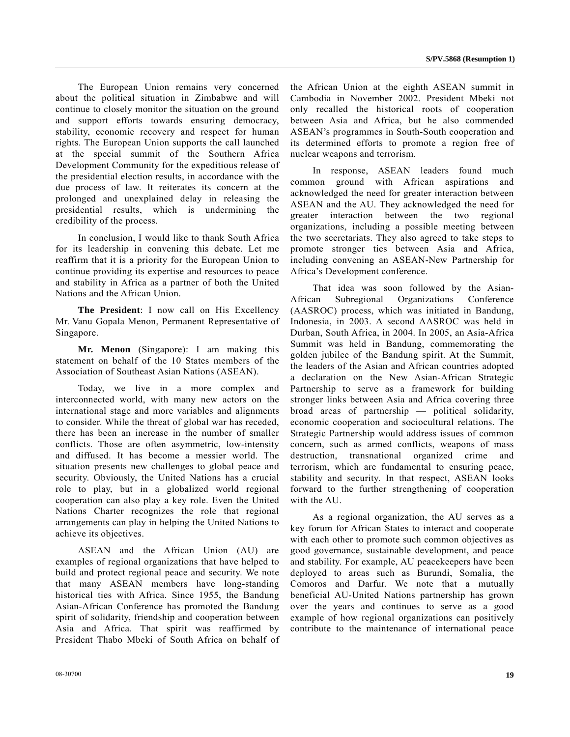The European Union remains very concerned about the political situation in Zimbabwe and will continue to closely monitor the situation on the ground and support efforts towards ensuring democracy, stability, economic recovery and respect for human rights. The European Union supports the call launched at the special summit of the Southern Africa Development Community for the expeditious release of the presidential election results, in accordance with the due process of law. It reiterates its concern at the prolonged and unexplained delay in releasing the presidential results, which is undermining the credibility of the process.

 In conclusion, I would like to thank South Africa for its leadership in convening this debate. Let me reaffirm that it is a priority for the European Union to continue providing its expertise and resources to peace and stability in Africa as a partner of both the United Nations and the African Union.

**The President**: I now call on His Excellency Mr. Vanu Gopala Menon, Permanent Representative of Singapore.

**Mr. Menon** (Singapore): I am making this statement on behalf of the 10 States members of the Association of Southeast Asian Nations (ASEAN).

 Today, we live in a more complex and interconnected world, with many new actors on the international stage and more variables and alignments to consider. While the threat of global war has receded, there has been an increase in the number of smaller conflicts. Those are often asymmetric, low-intensity and diffused. It has become a messier world. The situation presents new challenges to global peace and security. Obviously, the United Nations has a crucial role to play, but in a globalized world regional cooperation can also play a key role. Even the United Nations Charter recognizes the role that regional arrangements can play in helping the United Nations to achieve its objectives.

 ASEAN and the African Union (AU) are examples of regional organizations that have helped to build and protect regional peace and security. We note that many ASEAN members have long-standing historical ties with Africa. Since 1955, the Bandung Asian-African Conference has promoted the Bandung spirit of solidarity, friendship and cooperation between Asia and Africa. That spirit was reaffirmed by President Thabo Mbeki of South Africa on behalf of the African Union at the eighth ASEAN summit in Cambodia in November 2002. President Mbeki not only recalled the historical roots of cooperation between Asia and Africa, but he also commended ASEAN's programmes in South-South cooperation and its determined efforts to promote a region free of nuclear weapons and terrorism.

 In response, ASEAN leaders found much common ground with African aspirations and acknowledged the need for greater interaction between ASEAN and the AU. They acknowledged the need for greater interaction between the two regional organizations, including a possible meeting between the two secretariats. They also agreed to take steps to promote stronger ties between Asia and Africa, including convening an ASEAN-New Partnership for Africa's Development conference.

 That idea was soon followed by the Asian-African Subregional Organizations Conference (AASROC) process, which was initiated in Bandung, Indonesia, in 2003. A second AASROC was held in Durban, South Africa, in 2004. In 2005, an Asia-Africa Summit was held in Bandung, commemorating the golden jubilee of the Bandung spirit. At the Summit, the leaders of the Asian and African countries adopted a declaration on the New Asian-African Strategic Partnership to serve as a framework for building stronger links between Asia and Africa covering three broad areas of partnership — political solidarity, economic cooperation and sociocultural relations. The Strategic Partnership would address issues of common concern, such as armed conflicts, weapons of mass destruction, transnational organized crime and terrorism, which are fundamental to ensuring peace, stability and security. In that respect, ASEAN looks forward to the further strengthening of cooperation with the AU.

 As a regional organization, the AU serves as a key forum for African States to interact and cooperate with each other to promote such common objectives as good governance, sustainable development, and peace and stability. For example, AU peacekeepers have been deployed to areas such as Burundi, Somalia, the Comoros and Darfur. We note that a mutually beneficial AU-United Nations partnership has grown over the years and continues to serve as a good example of how regional organizations can positively contribute to the maintenance of international peace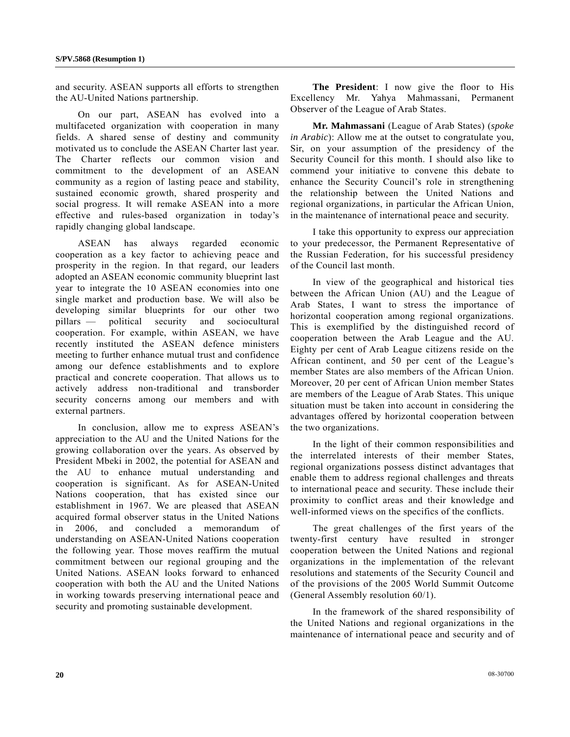and security. ASEAN supports all efforts to strengthen the AU-United Nations partnership.

 On our part, ASEAN has evolved into a multifaceted organization with cooperation in many fields. A shared sense of destiny and community motivated us to conclude the ASEAN Charter last year. The Charter reflects our common vision and commitment to the development of an ASEAN community as a region of lasting peace and stability, sustained economic growth, shared prosperity and social progress. It will remake ASEAN into a more effective and rules-based organization in today's rapidly changing global landscape.

 ASEAN has always regarded economic cooperation as a key factor to achieving peace and prosperity in the region. In that regard, our leaders adopted an ASEAN economic community blueprint last year to integrate the 10 ASEAN economies into one single market and production base. We will also be developing similar blueprints for our other two pillars — political security and sociocultural cooperation. For example, within ASEAN, we have recently instituted the ASEAN defence ministers meeting to further enhance mutual trust and confidence among our defence establishments and to explore practical and concrete cooperation. That allows us to actively address non-traditional and transborder security concerns among our members and with external partners.

 In conclusion, allow me to express ASEAN's appreciation to the AU and the United Nations for the growing collaboration over the years. As observed by President Mbeki in 2002, the potential for ASEAN and the AU to enhance mutual understanding and cooperation is significant. As for ASEAN-United Nations cooperation, that has existed since our establishment in 1967. We are pleased that ASEAN acquired formal observer status in the United Nations 2006, and concluded a memorandum understanding on ASEAN-United Nations cooperation the following year. Those moves reaffirm the mutual commitment between our regional grouping and the United Nations. ASEAN looks forward to enhanced cooperation with both the AU and the United Nations in working towards preserving international peace and security and promoting sustainable development.

**The President**: I now give the floor to His Excellency Mr. Yahya Mahmassani, Permanent Observer of the League of Arab States.

**Mr. Mahmassani** (League of Arab States) (*spoke in Arabic*): Allow me at the outset to congratulate you, Sir, on your assumption of the presidency of the Security Council for this month. I should also like to commend your initiative to convene this debate to enhance the Security Council's role in strengthening the relationship between the United Nations and regional organizations, in particular the African Union, in the maintenance of international peace and security.

 I take this opportunity to express our appreciation to your predecessor, the Permanent Representative of the Russian Federation, for his successful presidency of the Council last month.

 In view of the geographical and historical ties between the African Union (AU) and the League of Arab States, I want to stress the importance of horizontal cooperation among regional organizations. This is exemplified by the distinguished record of cooperation between the Arab League and the AU. Eighty per cent of Arab League citizens reside on the African continent, and 50 per cent of the League's member States are also members of the African Union. Moreover, 20 per cent of African Union member States are members of the League of Arab States. This unique situation must be taken into account in considering the advantages offered by horizontal cooperation between the two organizations.

 In the light of their common responsibilities and the interrelated interests of their member States, regional organizations possess distinct advantages that enable them to address regional challenges and threats to international peace and security. These include their proximity to conflict areas and their knowledge and well-informed views on the specifics of the conflicts.

 The great challenges of the first years of the twenty-first century have resulted in stronger cooperation between the United Nations and regional organizations in the implementation of the relevant resolutions and statements of the Security Council and of the provisions of the 2005 World Summit Outcome (General Assembly resolution 60/1).

 In the framework of the shared responsibility of the United Nations and regional organizations in the maintenance of international peace and security and of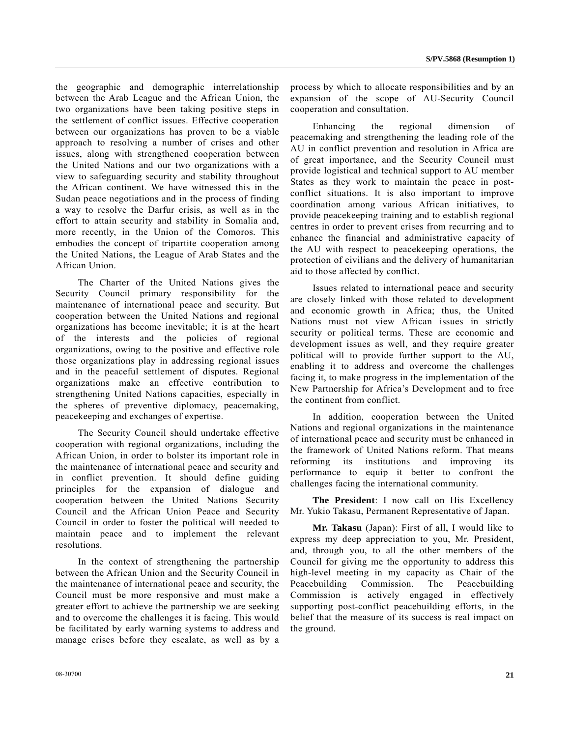the geographic and demographic interrelationship between the Arab League and the African Union, the two organizations have been taking positive steps in the settlement of conflict issues. Effective cooperation between our organizations has proven to be a viable approach to resolving a number of crises and other issues, along with strengthened cooperation between the United Nations and our two organizations with a view to safeguarding security and stability throughout the African continent. We have witnessed this in the Sudan peace negotiations and in the process of finding a way to resolve the Darfur crisis, as well as in the effort to attain security and stability in Somalia and, more recently, in the Union of the Comoros. This embodies the concept of tripartite cooperation among the United Nations, the League of Arab States and the African Union.

 The Charter of the United Nations gives the Security Council primary responsibility for the maintenance of international peace and security. But cooperation between the United Nations and regional organizations has become inevitable; it is at the heart of the interests and the policies of regional organizations, owing to the positive and effective role those organizations play in addressing regional issues and in the peaceful settlement of disputes. Regional organizations make an effective contribution to strengthening United Nations capacities, especially in the spheres of preventive diplomacy, peacemaking, peacekeeping and exchanges of expertise.

 The Security Council should undertake effective cooperation with regional organizations, including the African Union, in order to bolster its important role in the maintenance of international peace and security and in conflict prevention. It should define guiding principles for the expansion of dialogue and cooperation between the United Nations Security Council and the African Union Peace and Security Council in order to foster the political will needed to maintain peace and to implement the relevant resolutions.

 In the context of strengthening the partnership between the African Union and the Security Council in the maintenance of international peace and security, the Council must be more responsive and must make a greater effort to achieve the partnership we are seeking and to overcome the challenges it is facing. This would be facilitated by early warning systems to address and manage crises before they escalate, as well as by a

process by which to allocate responsibilities and by an expansion of the scope of AU-Security Council cooperation and consultation.

 Enhancing the regional dimension of peacemaking and strengthening the leading role of the AU in conflict prevention and resolution in Africa are of great importance, and the Security Council must provide logistical and technical support to AU member States as they work to maintain the peace in postconflict situations. It is also important to improve coordination among various African initiatives, to provide peacekeeping training and to establish regional centres in order to prevent crises from recurring and to enhance the financial and administrative capacity of the AU with respect to peacekeeping operations, the protection of civilians and the delivery of humanitarian aid to those affected by conflict.

 Issues related to international peace and security are closely linked with those related to development and economic growth in Africa; thus, the United Nations must not view African issues in strictly security or political terms. These are economic and development issues as well, and they require greater political will to provide further support to the AU, enabling it to address and overcome the challenges facing it, to make progress in the implementation of the New Partnership for Africa's Development and to free the continent from conflict.

 In addition, cooperation between the United Nations and regional organizations in the maintenance of international peace and security must be enhanced in the framework of United Nations reform. That means reforming its institutions and improving its performance to equip it better to confront the challenges facing the international community.

**The President**: I now call on His Excellency Mr. Yukio Takasu, Permanent Representative of Japan.

**Mr. Takasu** (Japan): First of all, I would like to express my deep appreciation to you, Mr. President, and, through you, to all the other members of the Council for giving me the opportunity to address this high-level meeting in my capacity as Chair of the Peacebuilding Commission. The Peacebuilding Commission is actively engaged in effectively supporting post-conflict peacebuilding efforts, in the belief that the measure of its success is real impact on the ground.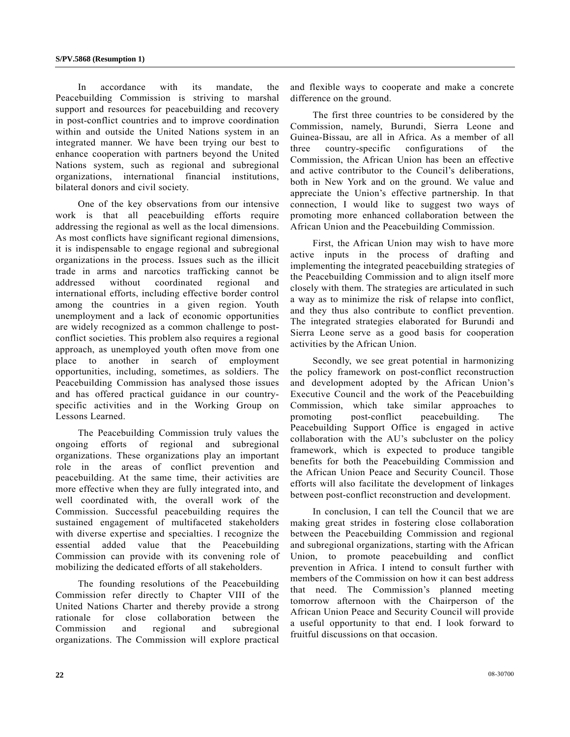In accordance with its mandate, the Peacebuilding Commission is striving to marshal support and resources for peacebuilding and recovery in post-conflict countries and to improve coordination within and outside the United Nations system in an integrated manner. We have been trying our best to enhance cooperation with partners beyond the United Nations system, such as regional and subregional organizations, international financial institutions, bilateral donors and civil society.

 One of the key observations from our intensive work is that all peacebuilding efforts require addressing the regional as well as the local dimensions. As most conflicts have significant regional dimensions, it is indispensable to engage regional and subregional organizations in the process. Issues such as the illicit trade in arms and narcotics trafficking cannot be addressed without coordinated regional and international efforts, including effective border control among the countries in a given region. Youth unemployment and a lack of economic opportunities are widely recognized as a common challenge to postconflict societies. This problem also requires a regional approach, as unemployed youth often move from one place to another in search of employment opportunities, including, sometimes, as soldiers. The Peacebuilding Commission has analysed those issues and has offered practical guidance in our countryspecific activities and in the Working Group on Lessons Learned.

 The Peacebuilding Commission truly values the ongoing efforts of regional and subregional organizations. These organizations play an important role in the areas of conflict prevention and peacebuilding. At the same time, their activities are more effective when they are fully integrated into, and well coordinated with, the overall work of the Commission. Successful peacebuilding requires the sustained engagement of multifaceted stakeholders with diverse expertise and specialties. I recognize the essential added value that the Peacebuilding Commission can provide with its convening role of mobilizing the dedicated efforts of all stakeholders.

 The founding resolutions of the Peacebuilding Commission refer directly to Chapter VIII of the United Nations Charter and thereby provide a strong rationale for close collaboration between the Commission and regional and subregional organizations. The Commission will explore practical and flexible ways to cooperate and make a concrete difference on the ground.

 The first three countries to be considered by the Commission, namely, Burundi, Sierra Leone and Guinea-Bissau, are all in Africa. As a member of all three country-specific configurations of the Commission, the African Union has been an effective and active contributor to the Council's deliberations, both in New York and on the ground. We value and appreciate the Union's effective partnership. In that connection, I would like to suggest two ways of promoting more enhanced collaboration between the African Union and the Peacebuilding Commission.

 First, the African Union may wish to have more active inputs in the process of drafting and implementing the integrated peacebuilding strategies of the Peacebuilding Commission and to align itself more closely with them. The strategies are articulated in such a way as to minimize the risk of relapse into conflict, and they thus also contribute to conflict prevention. The integrated strategies elaborated for Burundi and Sierra Leone serve as a good basis for cooperation activities by the African Union.

 Secondly, we see great potential in harmonizing the policy framework on post-conflict reconstruction and development adopted by the African Union's Executive Council and the work of the Peacebuilding Commission, which take similar approaches to promoting post-conflict peacebuilding. The Peacebuilding Support Office is engaged in active collaboration with the AU's subcluster on the policy framework, which is expected to produce tangible benefits for both the Peacebuilding Commission and the African Union Peace and Security Council. Those efforts will also facilitate the development of linkages between post-conflict reconstruction and development.

 In conclusion, I can tell the Council that we are making great strides in fostering close collaboration between the Peacebuilding Commission and regional and subregional organizations, starting with the African Union, to promote peacebuilding and conflict prevention in Africa. I intend to consult further with members of the Commission on how it can best address that need. The Commission's planned meeting tomorrow afternoon with the Chairperson of the African Union Peace and Security Council will provide a useful opportunity to that end. I look forward to fruitful discussions on that occasion.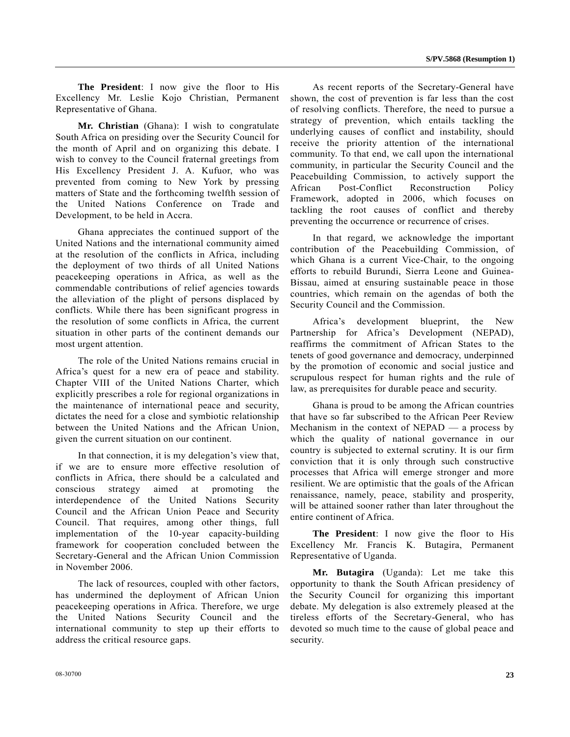**The President**: I now give the floor to His Excellency Mr. Leslie Kojo Christian, Permanent Representative of Ghana.

**Mr. Christian** (Ghana): I wish to congratulate South Africa on presiding over the Security Council for the month of April and on organizing this debate. I wish to convey to the Council fraternal greetings from His Excellency President J. A. Kufuor, who was prevented from coming to New York by pressing matters of State and the forthcoming twelfth session of the United Nations Conference on Trade and Development, to be held in Accra.

 Ghana appreciates the continued support of the United Nations and the international community aimed at the resolution of the conflicts in Africa, including the deployment of two thirds of all United Nations peacekeeping operations in Africa, as well as the commendable contributions of relief agencies towards the alleviation of the plight of persons displaced by conflicts. While there has been significant progress in the resolution of some conflicts in Africa, the current situation in other parts of the continent demands our most urgent attention.

 The role of the United Nations remains crucial in Africa's quest for a new era of peace and stability. Chapter VIII of the United Nations Charter, which explicitly prescribes a role for regional organizations in the maintenance of international peace and security, dictates the need for a close and symbiotic relationship between the United Nations and the African Union, given the current situation on our continent.

 In that connection, it is my delegation's view that, if we are to ensure more effective resolution of conflicts in Africa, there should be a calculated and conscious strategy aimed at promoting the interdependence of the United Nations Security Council and the African Union Peace and Security Council. That requires, among other things, full implementation of the 10-year capacity-building framework for cooperation concluded between the Secretary-General and the African Union Commission in November 2006.

 The lack of resources, coupled with other factors, has undermined the deployment of African Union peacekeeping operations in Africa. Therefore, we urge the United Nations Security Council and the international community to step up their efforts to address the critical resource gaps.

 As recent reports of the Secretary-General have shown, the cost of prevention is far less than the cost of resolving conflicts. Therefore, the need to pursue a strategy of prevention, which entails tackling the underlying causes of conflict and instability, should receive the priority attention of the international community. To that end, we call upon the international community, in particular the Security Council and the Peacebuilding Commission, to actively support the African Post-Conflict Reconstruction Policy Framework, adopted in 2006, which focuses on tackling the root causes of conflict and thereby preventing the occurrence or recurrence of crises.

 In that regard, we acknowledge the important contribution of the Peacebuilding Commission, of which Ghana is a current Vice-Chair, to the ongoing efforts to rebuild Burundi, Sierra Leone and Guinea-Bissau, aimed at ensuring sustainable peace in those countries, which remain on the agendas of both the Security Council and the Commission.

 Africa's development blueprint, the New Partnership for Africa's Development (NEPAD), reaffirms the commitment of African States to the tenets of good governance and democracy, underpinned by the promotion of economic and social justice and scrupulous respect for human rights and the rule of law, as prerequisites for durable peace and security.

 Ghana is proud to be among the African countries that have so far subscribed to the African Peer Review Mechanism in the context of  $NEPAD$  — a process by which the quality of national governance in our country is subjected to external scrutiny. It is our firm conviction that it is only through such constructive processes that Africa will emerge stronger and more resilient. We are optimistic that the goals of the African renaissance, namely, peace, stability and prosperity, will be attained sooner rather than later throughout the entire continent of Africa.

**The President**: I now give the floor to His Excellency Mr. Francis K. Butagira, Permanent Representative of Uganda.

**Mr. Butagira** (Uganda): Let me take this opportunity to thank the South African presidency of the Security Council for organizing this important debate. My delegation is also extremely pleased at the tireless efforts of the Secretary-General, who has devoted so much time to the cause of global peace and security.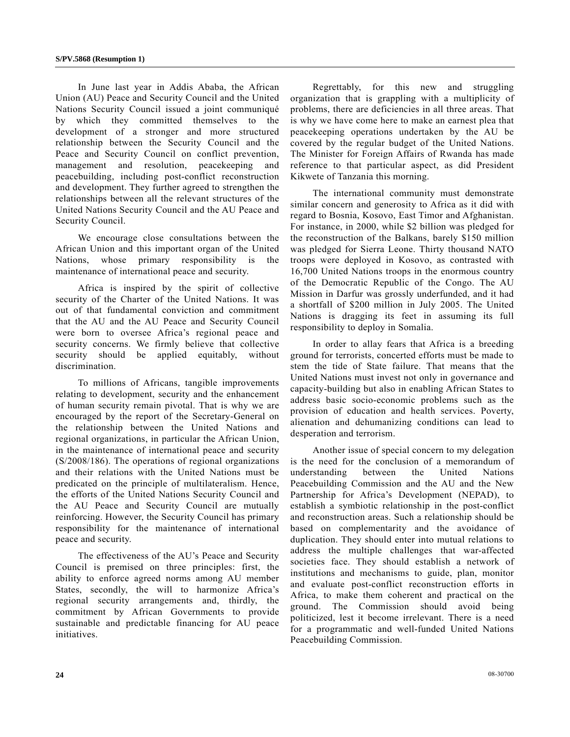In June last year in Addis Ababa, the African Union (AU) Peace and Security Council and the United Nations Security Council issued a joint communiqué by which they committed themselves to the development of a stronger and more structured relationship between the Security Council and the Peace and Security Council on conflict prevention, management and resolution, peacekeeping and peacebuilding, including post-conflict reconstruction and development. They further agreed to strengthen the relationships between all the relevant structures of the United Nations Security Council and the AU Peace and Security Council.

 We encourage close consultations between the African Union and this important organ of the United Nations, whose primary responsibility is the maintenance of international peace and security.

 Africa is inspired by the spirit of collective security of the Charter of the United Nations. It was out of that fundamental conviction and commitment that the AU and the AU Peace and Security Council were born to oversee Africa's regional peace and security concerns. We firmly believe that collective security should be applied equitably, without discrimination.

 To millions of Africans, tangible improvements relating to development, security and the enhancement of human security remain pivotal. That is why we are encouraged by the report of the Secretary-General on the relationship between the United Nations and regional organizations, in particular the African Union, in the maintenance of international peace and security (S/2008/186). The operations of regional organizations and their relations with the United Nations must be predicated on the principle of multilateralism. Hence, the efforts of the United Nations Security Council and the AU Peace and Security Council are mutually reinforcing. However, the Security Council has primary responsibility for the maintenance of international peace and security.

 The effectiveness of the AU's Peace and Security Council is premised on three principles: first, the ability to enforce agreed norms among AU member States, secondly, the will to harmonize Africa's regional security arrangements and, thirdly, the commitment by African Governments to provide sustainable and predictable financing for AU peace initiatives.

 Regrettably, for this new and struggling organization that is grappling with a multiplicity of problems, there are deficiencies in all three areas. That is why we have come here to make an earnest plea that peacekeeping operations undertaken by the AU be covered by the regular budget of the United Nations. The Minister for Foreign Affairs of Rwanda has made reference to that particular aspect, as did President Kikwete of Tanzania this morning.

 The international community must demonstrate similar concern and generosity to Africa as it did with regard to Bosnia, Kosovo, East Timor and Afghanistan. For instance, in 2000, while \$2 billion was pledged for the reconstruction of the Balkans, barely \$150 million was pledged for Sierra Leone. Thirty thousand NATO troops were deployed in Kosovo, as contrasted with 16,700 United Nations troops in the enormous country of the Democratic Republic of the Congo. The AU Mission in Darfur was grossly underfunded, and it had a shortfall of \$200 million in July 2005. The United Nations is dragging its feet in assuming its full responsibility to deploy in Somalia.

 In order to allay fears that Africa is a breeding ground for terrorists, concerted efforts must be made to stem the tide of State failure. That means that the United Nations must invest not only in governance and capacity-building but also in enabling African States to address basic socio-economic problems such as the provision of education and health services. Poverty, alienation and dehumanizing conditions can lead to desperation and terrorism.

 Another issue of special concern to my delegation is the need for the conclusion of a memorandum of understanding between the United Nations Peacebuilding Commission and the AU and the New Partnership for Africa's Development (NEPAD), to establish a symbiotic relationship in the post-conflict and reconstruction areas. Such a relationship should be based on complementarity and the avoidance of duplication. They should enter into mutual relations to address the multiple challenges that war-affected societies face. They should establish a network of institutions and mechanisms to guide, plan, monitor and evaluate post-conflict reconstruction efforts in Africa, to make them coherent and practical on the ground. The Commission should avoid being politicized, lest it become irrelevant. There is a need for a programmatic and well-funded United Nations Peacebuilding Commission.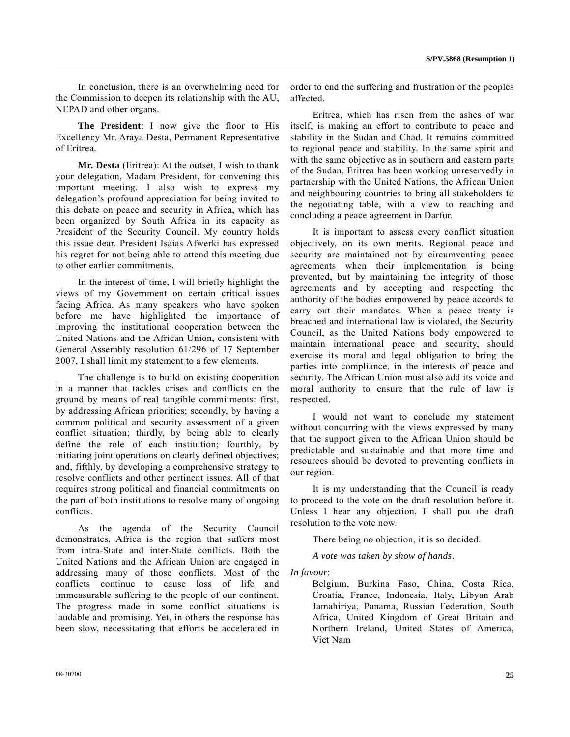In conclusion, there is an overwhelming need for the Commission to deepen its relationship with the AU, NEPAD and other organs.

**The President**: I now give the floor to His Excellency Mr. Araya Desta, Permanent Representative of Eritrea.

**Mr. Desta** (Eritrea): At the outset, I wish to thank your delegation, Madam President, for convening this important meeting. I also wish to express my delegation's profound appreciation for being invited to this debate on peace and security in Africa, which has been organized by South Africa in its capacity as President of the Security Council. My country holds this issue dear. President Isaias Afwerki has expressed his regret for not being able to attend this meeting due to other earlier commitments.

 In the interest of time, I will briefly highlight the views of my Government on certain critical issues facing Africa. As many speakers who have spoken before me have highlighted the importance of improving the institutional cooperation between the United Nations and the African Union, consistent with General Assembly resolution 61/296 of 17 September 2007, I shall limit my statement to a few elements.

 The challenge is to build on existing cooperation in a manner that tackles crises and conflicts on the ground by means of real tangible commitments: first, by addressing African priorities; secondly, by having a common political and security assessment of a given conflict situation; thirdly, by being able to clearly define the role of each institution; fourthly, by initiating joint operations on clearly defined objectives; and, fifthly, by developing a comprehensive strategy to resolve conflicts and other pertinent issues. All of that requires strong political and financial commitments on the part of both institutions to resolve many of ongoing conflicts.

 As the agenda of the Security Council demonstrates, Africa is the region that suffers most from intra-State and inter-State conflicts. Both the United Nations and the African Union are engaged in addressing many of those conflicts. Most of the conflicts continue to cause loss of life and immeasurable suffering to the people of our continent. The progress made in some conflict situations is laudable and promising. Yet, in others the response has been slow, necessitating that efforts be accelerated in order to end the suffering and frustration of the peoples affected.

 Eritrea, which has risen from the ashes of war itself, is making an effort to contribute to peace and stability in the Sudan and Chad. It remains committed to regional peace and stability. In the same spirit and with the same objective as in southern and eastern parts of the Sudan, Eritrea has been working unreservedly in partnership with the United Nations, the African Union and neighbouring countries to bring all stakeholders to the negotiating table, with a view to reaching and concluding a peace agreement in Darfur.

 It is important to assess every conflict situation objectively, on its own merits. Regional peace and security are maintained not by circumventing peace agreements when their implementation is being prevented, but by maintaining the integrity of those agreements and by accepting and respecting the authority of the bodies empowered by peace accords to carry out their mandates. When a peace treaty is breached and international law is violated, the Security Council, as the United Nations body empowered to maintain international peace and security, should exercise its moral and legal obligation to bring the parties into compliance, in the interests of peace and security. The African Union must also add its voice and moral authority to ensure that the rule of law is respected.

 I would not want to conclude my statement without concurring with the views expressed by many that the support given to the African Union should be predictable and sustainable and that more time and resources should be devoted to preventing conflicts in our region.

 It is my understanding that the Council is ready to proceed to the vote on the draft resolution before it. Unless I hear any objection, I shall put the draft resolution to the vote now.

There being no objection, it is so decided.

*A vote was taken by show of hands*.

*In favour*:

Belgium, Burkina Faso, China, Costa Rica, Croatia, France, Indonesia, Italy, Libyan Arab Jamahiriya, Panama, Russian Federation, South Africa, United Kingdom of Great Britain and Northern Ireland, United States of America, Viet Nam